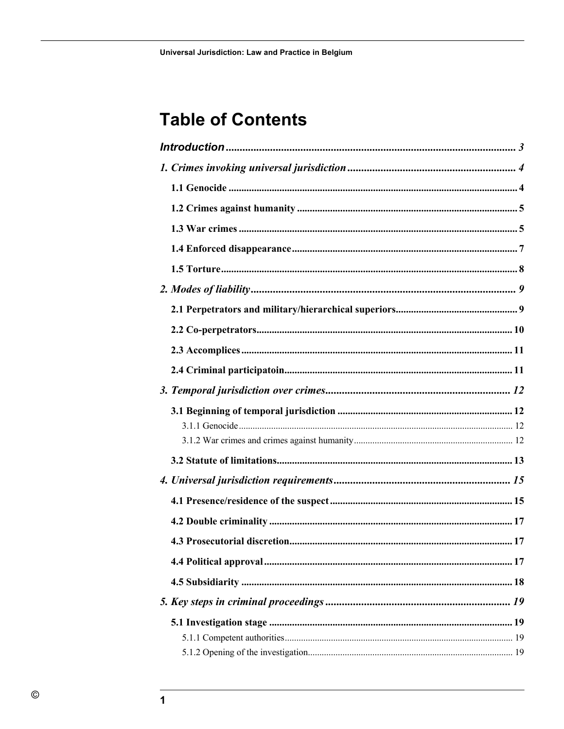# **Table of Contents**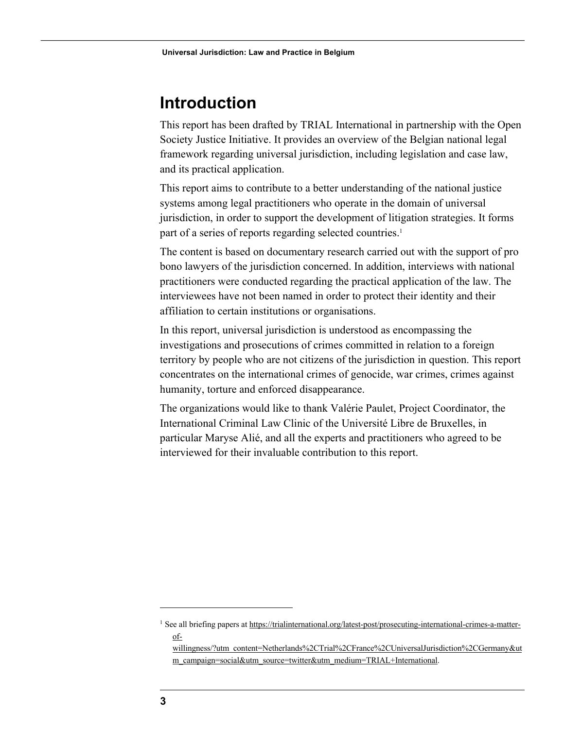# **Introduction**

This report has been drafted by TRIAL International in partnership with the Open Society Justice Initiative. It provides an overview of the Belgian national legal framework regarding universal jurisdiction, including legislation and case law, and its practical application.

This report aims to contribute to a better understanding of the national justice systems among legal practitioners who operate in the domain of universal jurisdiction, in order to support the development of litigation strategies. It forms part of a series of reports regarding selected countries.<sup>1</sup>

The content is based on documentary research carried out with the support of pro bono lawyers of the jurisdiction concerned. In addition, interviews with national practitioners were conducted regarding the practical application of the law. The interviewees have not been named in order to protect their identity and their affiliation to certain institutions or organisations.

In this report, universal jurisdiction is understood as encompassing the investigations and prosecutions of crimes committed in relation to a foreign territory by people who are not citizens of the jurisdiction in question. This report concentrates on the international crimes of genocide, war crimes, crimes against humanity, torture and enforced disappearance.

The organizations would like to thank Valérie Paulet, Project Coordinator, the International Criminal Law Clinic of the Université Libre de Bruxelles, in particular Maryse Alié, and all the experts and practitioners who agreed to be interviewed for their invaluable contribution to this report.

 $1$  See all briefing papers at https://trialinternational.org/latest-post/prosecuting-international-crimes-a-matterof-

willingness/?utm\_content=Netherlands%2CTrial%2CFrance%2CUniversalJurisdiction%2CGermany&ut m\_campaign=social&utm\_source=twitter&utm\_medium=TRIAL+International.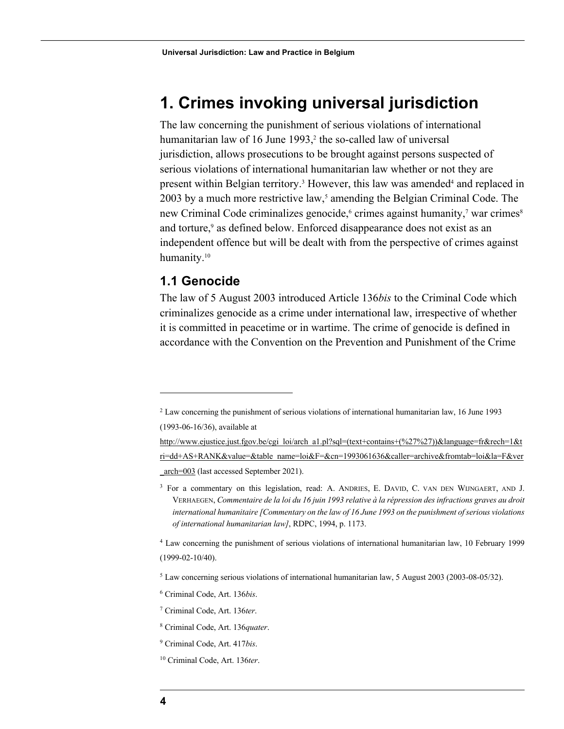# **1. Crimes invoking universal jurisdiction**

The law concerning the punishment of serious violations of international humanitarian law of 16 June 1993, <sup>2</sup> the so-called law of universal jurisdiction, allows prosecutions to be brought against persons suspected of serious violations of international humanitarian law whether or not they are present within Belgian territory.<sup>3</sup> However, this law was amended<sup>4</sup> and replaced in 2003 by a much more restrictive law, <sup>5</sup> amending the Belgian Criminal Code. The new Criminal Code criminalizes genocide,<sup>6</sup> crimes against humanity,<sup>7</sup> war crimes<sup>8</sup> and torture, <sup>9</sup> as defined below. Enforced disappearance does not exist as an independent offence but will be dealt with from the perspective of crimes against humanity.<sup>10</sup>

## **1.1 Genocide**

The law of 5 August 2003 introduced Article 136*bis* to the Criminal Code which criminalizes genocide as a crime under international law, irrespective of whether it is committed in peacetime or in wartime. The crime of genocide is defined in accordance with the Convention on the Prevention and Punishment of the Crime

<sup>2</sup> Law concerning the punishment of serious violations of international humanitarian law, 16 June 1993 (1993-06-16/36), available at

http://www.ejustice.just.fgov.be/cgi\_loi/arch\_a1.pl?sql=(text+contains+(%27%27))&language=fr&rech=1&t ri=dd+AS+RANK&value=&table\_name=loi&F=&cn=1993061636&caller=archive&fromtab=loi&la=F&ver \_arch=003 (last accessed September 2021).

<sup>&</sup>lt;sup>3</sup> For a commentary on this legislation, read: A. ANDRIES, E. DAVID, C. VAN DEN WIJNGAERT, AND J. VERHAEGEN, *Commentaire de la loi du 16 juin 1993 relative à la répression des infractions graves au droit international humanitaire [Commentary on the law of 16 June 1993 on the punishment of serious violations of international humanitarian law]*, RDPC, 1994, p. 1173.

<sup>4</sup> Law concerning the punishment of serious violations of international humanitarian law, 10 February 1999 (1999-02-10/40).

<sup>5</sup> Law concerning serious violations of international humanitarian law, 5 August 2003 (2003-08-05/32).

<sup>6</sup> Criminal Code, Art. 136*bis*.

<sup>7</sup> Criminal Code, Art. 136*ter*.

<sup>8</sup> Criminal Code, Art. 136*quater*.

<sup>9</sup> Criminal Code, Art. 417*bis*.

<sup>10</sup> Criminal Code, Art. 136*ter*.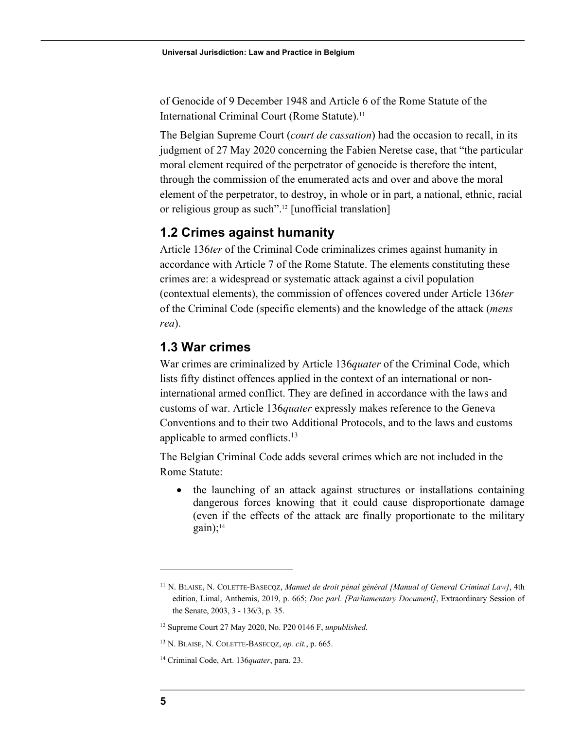of Genocide of 9 December 1948 and Article 6 of the Rome Statute of the International Criminal Court (Rome Statute).<sup>11</sup>

The Belgian Supreme Court (*court de cassation*) had the occasion to recall, in its judgment of 27 May 2020 concerning the Fabien Neretse case, that "the particular moral element required of the perpetrator of genocide is therefore the intent, through the commission of the enumerated acts and over and above the moral element of the perpetrator, to destroy, in whole or in part, a national, ethnic, racial or religious group as such". <sup>12</sup> [unofficial translation]

## **1.2 Crimes against humanity**

Article 136*ter* of the Criminal Code criminalizes crimes against humanity in accordance with Article 7 of the Rome Statute. The elements constituting these crimes are: a widespread or systematic attack against a civil population (contextual elements), the commission of offences covered under Article 136*ter* of the Criminal Code (specific elements) and the knowledge of the attack (*mens rea*).

## **1.3 War crimes**

War crimes are criminalized by Article 136*quater* of the Criminal Code, which lists fifty distinct offences applied in the context of an international or noninternational armed conflict. They are defined in accordance with the laws and customs of war. Article 136*quater* expressly makes reference to the Geneva Conventions and to their two Additional Protocols, and to the laws and customs applicable to armed conflicts.<sup>13</sup>

The Belgian Criminal Code adds several crimes which are not included in the Rome Statute:

• the launching of an attack against structures or installations containing dangerous forces knowing that it could cause disproportionate damage (even if the effects of the attack are finally proportionate to the military gain); 14

<sup>11</sup> N. BLAISE, N. COLETTE-BASECQZ, *Manuel de droit pénal général [Manual of General Criminal Law]*, 4th edition, Limal, Anthemis, 2019, p. 665; *Doc parl*. *[Parliamentary Document]*, Extraordinary Session of the Senate, 2003, 3 - 136/3, p. 35.

<sup>12</sup> Supreme Court 27 May 2020, No. P20 0146 F, *unpublished*.

<sup>13</sup> N. BLAISE, N. COLETTE-BASECQZ, *op. cit.*, p. 665.

<sup>14</sup> Criminal Code, Art. 136*quater*, para. 23.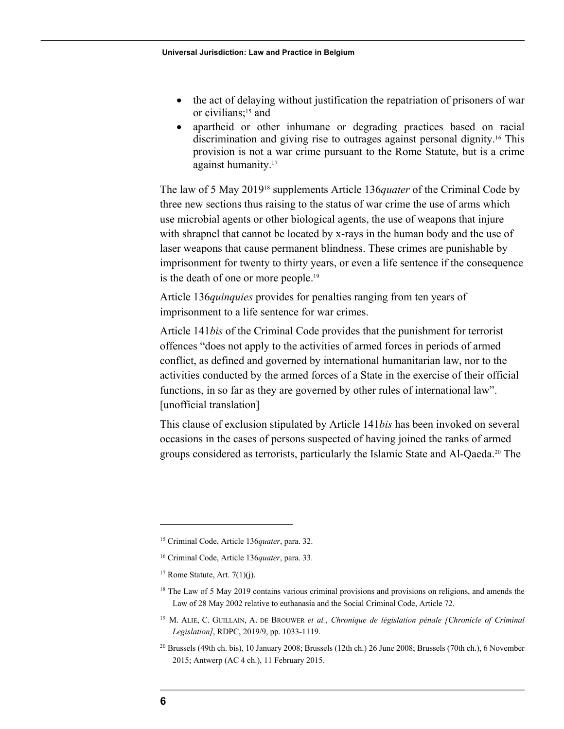- the act of delaying without justification the repatriation of prisoners of war or civilians; <sup>15</sup> and
- apartheid or other inhumane or degrading practices based on racial discrimination and giving rise to outrages against personal dignity. <sup>16</sup> This provision is not a war crime pursuant to the Rome Statute, but is a crime against humanity. 17

The law of 5 May 201918 supplements Article 136*quater* of the Criminal Code by three new sections thus raising to the status of war crime the use of arms which use microbial agents or other biological agents, the use of weapons that injure with shrapnel that cannot be located by x-rays in the human body and the use of laser weapons that cause permanent blindness. These crimes are punishable by imprisonment for twenty to thirty years, or even a life sentence if the consequence is the death of one or more people.<sup>19</sup>

Article 136*quinquies* provides for penalties ranging from ten years of imprisonment to a life sentence for war crimes.

Article 141*bis* of the Criminal Code provides that the punishment for terrorist offences "does not apply to the activities of armed forces in periods of armed conflict, as defined and governed by international humanitarian law, nor to the activities conducted by the armed forces of a State in the exercise of their official functions, in so far as they are governed by other rules of international law". [unofficial translation]

This clause of exclusion stipulated by Article 141*bis* has been invoked on several occasions in the cases of persons suspected of having joined the ranks of armed groups considered as terrorists, particularly the Islamic State and Al-Qaeda. <sup>20</sup> The

<sup>15</sup> Criminal Code, Article 136*quater*, para. 32.

<sup>16</sup> Criminal Code, Article 136*quater*, para. 33.

<sup>&</sup>lt;sup>17</sup> Rome Statute, Art.  $7(1)(i)$ .

<sup>&</sup>lt;sup>18</sup> The Law of 5 May 2019 contains various criminal provisions and provisions on religions, and amends the Law of 28 May 2002 relative to euthanasia and the Social Criminal Code, Article 72.

<sup>19</sup> M. ALIE, C. GUILLAIN, A. DE BROUWER *et al.*, *Chronique de législation pénale [Chronicle of Criminal Legislation]*, RDPC, 2019/9, pp. 1033-1119.

<sup>20</sup> Brussels (49th ch. bis), 10 January 2008; Brussels (12th ch.) 26 June 2008; Brussels (70th ch.), 6 November 2015; Antwerp (AC 4 ch.), 11 February 2015.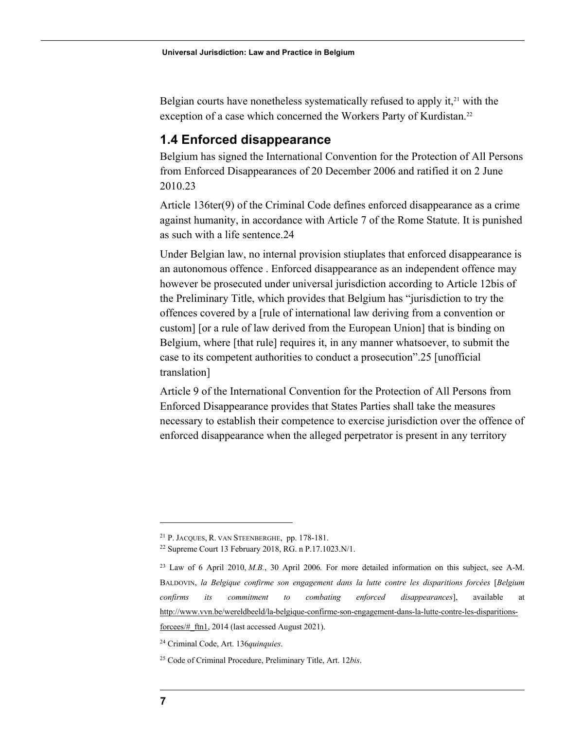Belgian courts have nonetheless systematically refused to apply it,<sup>21</sup> with the exception of a case which concerned the Workers Party of Kurdistan.<sup>22</sup>

### **1.4 Enforced disappearance**

Belgium has signed the International Convention for the Protection of All Persons from Enforced Disappearances of 20 December 2006 and ratified it on 2 June 2010.23

Article 136ter(9) of the Criminal Code defines enforced disappearance as a crime against humanity, in accordance with Article 7 of the Rome Statute. It is punished as such with a life sentence.24

Under Belgian law, no internal provision stiuplates that enforced disappearance is an autonomous offence . Enforced disappearance as an independent offence may however be prosecuted under universal jurisdiction according to Article 12bis of the Preliminary Title, which provides that Belgium has "jurisdiction to try the offences covered by a [rule of international law deriving from a convention or custom] [or a rule of law derived from the European Union] that is binding on Belgium, where [that rule] requires it, in any manner whatsoever, to submit the case to its competent authorities to conduct a prosecution".25 [unofficial translation]

Article 9 of the International Convention for the Protection of All Persons from Enforced Disappearance provides that States Parties shall take the measures necessary to establish their competence to exercise jurisdiction over the offence of enforced disappearance when the alleged perpetrator is present in any territory

<sup>21</sup> P.JACQUES, R. VAN STEENBERGHE, pp. 178-181.

<sup>22</sup> Supreme Court 13 February 2018, RG. n P.17.1023.N/1.

<sup>23</sup> Law of 6 April 2010, *M.B.*, 30 April 2006*.* For more detailed information on this subject, see A-M. BALDOVIN, *la Belgique confirme son engagement dans la lutte contre les disparitions forcées* [*Belgium confirms its commitment to combating enforced disappearances*], available at http://www.vvn.be/wereldbeeld/la-belgique-confirme-son-engagement-dans-la-lutte-contre-les-disparitions-

forcees/#\_ftn1, 2014 (last accessed August 2021).

<sup>24</sup> Criminal Code, Art. 136*quinquies*.

<sup>25</sup> Code of Criminal Procedure, Preliminary Title, Art. 12*bis*.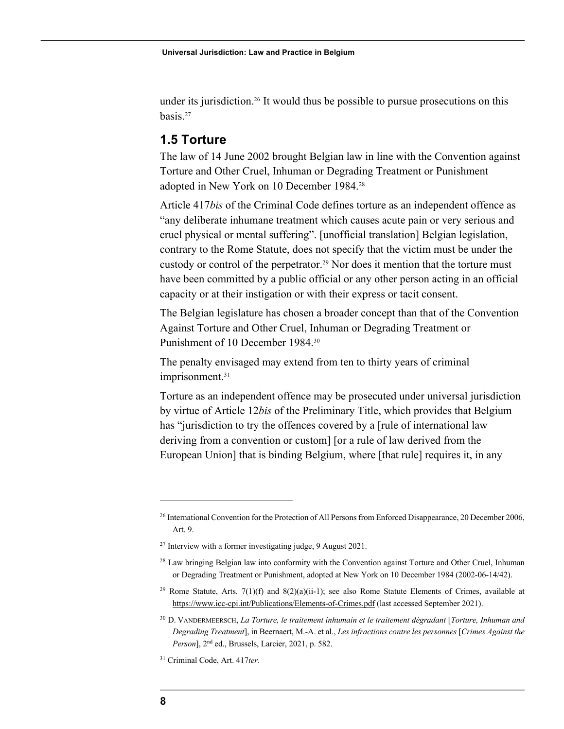under its jurisdiction. <sup>26</sup> It would thus be possible to pursue prosecutions on this basis. 27

### **1.5 Torture**

The law of 14 June 2002 brought Belgian law in line with the Convention against Torture and Other Cruel, Inhuman or Degrading Treatment or Punishment adopted in New York on 10 December 1984. 28

Article 417*bis* of the Criminal Code defines torture as an independent offence as "any deliberate inhumane treatment which causes acute pain or very serious and cruel physical or mental suffering". [unofficial translation] Belgian legislation, contrary to the Rome Statute, does not specify that the victim must be under the custody or control of the perpetrator. <sup>29</sup> Nor does it mention that the torture must have been committed by a public official or any other person acting in an official capacity or at their instigation or with their express or tacit consent.

The Belgian legislature has chosen a broader concept than that of the Convention Against Torture and Other Cruel, Inhuman or Degrading Treatment or Punishment of 10 December 1984. 30

The penalty envisaged may extend from ten to thirty years of criminal imprisonment. 31

Torture as an independent offence may be prosecuted under universal jurisdiction by virtue of Article 12*bis* of the Preliminary Title, which provides that Belgium has "jurisdiction to try the offences covered by a [rule of international law deriving from a convention or custom] [or a rule of law derived from the European Union] that is binding Belgium, where [that rule] requires it, in any

<sup>&</sup>lt;sup>26</sup> International Convention for the Protection of All Persons from Enforced Disappearance, 20 December 2006, Art. 9.

<sup>27</sup> Interview with a former investigating judge, 9 August 2021.

<sup>&</sup>lt;sup>28</sup> Law bringing Belgian law into conformity with the Convention against Torture and Other Cruel, Inhuman or Degrading Treatment or Punishment, adopted at New York on 10 December 1984 (2002-06-14/42).

<sup>&</sup>lt;sup>29</sup> Rome Statute, Arts. 7(1)(f) and 8(2)(a)(ii-1); see also Rome Statute Elements of Crimes, available at https://www.icc-cpi.int/Publications/Elements-of-Crimes.pdf (last accessed September 2021).

<sup>30</sup> D. VANDERMEERSCH, *La Torture, le traitement inhumain et le traitement dégradant* [*Torture, Inhuman and Degrading Treatment*], in Beernaert, M.-A. et al., *Les infractions contre les personnes* [*Crimes Against the Person*], 2nd ed., Brussels, Larcier, 2021, p. 582.

<sup>31</sup> Criminal Code, Art. 417*ter*.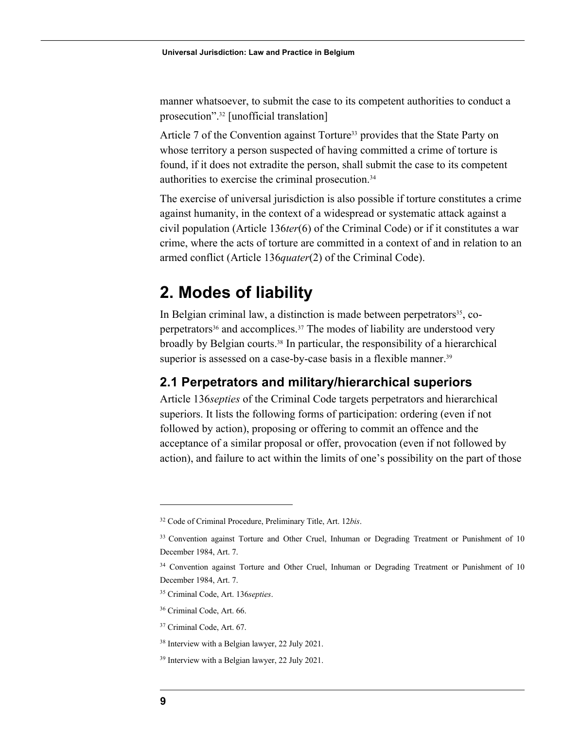manner whatsoever, to submit the case to its competent authorities to conduct a prosecution". <sup>32</sup> [unofficial translation]

Article 7 of the Convention against Torture<sup>33</sup> provides that the State Party on whose territory a person suspected of having committed a crime of torture is found, if it does not extradite the person, shall submit the case to its competent authorities to exercise the criminal prosecution. 34

The exercise of universal jurisdiction is also possible if torture constitutes a crime against humanity, in the context of a widespread or systematic attack against a civil population (Article 136*ter*(6) of the Criminal Code) or if it constitutes a war crime, where the acts of torture are committed in a context of and in relation to an armed conflict (Article 136*quater*(2) of the Criminal Code).

# **2. Modes of liability**

In Belgian criminal law, a distinction is made between perpetrators<sup>35</sup>, coperpetrators<sup>36</sup> and accomplices.<sup>37</sup> The modes of liability are understood very broadly by Belgian courts. <sup>38</sup> In particular, the responsibility of a hierarchical superior is assessed on a case-by-case basis in a flexible manner.<sup>39</sup>

## **2.1 Perpetrators and military/hierarchical superiors**

Article 136*septies* of the Criminal Code targets perpetrators and hierarchical superiors. It lists the following forms of participation: ordering (even if not followed by action), proposing or offering to commit an offence and the acceptance of a similar proposal or offer, provocation (even if not followed by action), and failure to act within the limits of one's possibility on the part of those

<sup>32</sup> Code of Criminal Procedure, Preliminary Title, Art. 12*bis*.

<sup>&</sup>lt;sup>33</sup> Convention against Torture and Other Cruel, Inhuman or Degrading Treatment or Punishment of 10 December 1984, Art. 7.

<sup>&</sup>lt;sup>34</sup> Convention against Torture and Other Cruel, Inhuman or Degrading Treatment or Punishment of 10 December 1984, Art. 7.

<sup>35</sup> Criminal Code, Art. 136*septies*.

<sup>36</sup> Criminal Code, Art. 66.

<sup>37</sup> Criminal Code, Art. 67.

<sup>38</sup> Interview with a Belgian lawyer, 22 July 2021.

<sup>39</sup> Interview with a Belgian lawyer, 22 July 2021.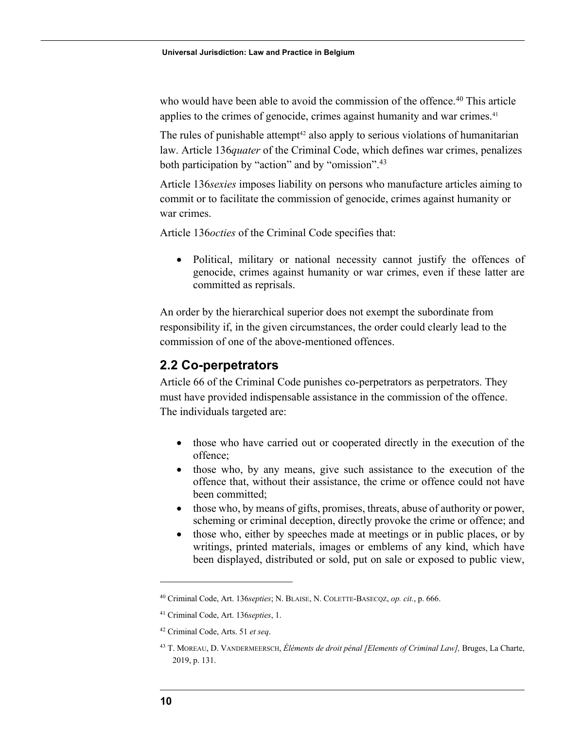who would have been able to avoid the commission of the offence.<sup>40</sup> This article applies to the crimes of genocide, crimes against humanity and war crimes.<sup>41</sup>

The rules of punishable attempt<sup>42</sup> also apply to serious violations of humanitarian law. Article 136*quater* of the Criminal Code, which defines war crimes, penalizes both participation by "action" and by "omission".<sup>43</sup>

Article 136*sexies* imposes liability on persons who manufacture articles aiming to commit or to facilitate the commission of genocide, crimes against humanity or war crimes.

Article 136*octies* of the Criminal Code specifies that:

• Political, military or national necessity cannot justify the offences of genocide, crimes against humanity or war crimes, even if these latter are committed as reprisals.

An order by the hierarchical superior does not exempt the subordinate from responsibility if, in the given circumstances, the order could clearly lead to the commission of one of the above-mentioned offences.

## **2.2 Co-perpetrators**

Article 66 of the Criminal Code punishes co-perpetrators as perpetrators. They must have provided indispensable assistance in the commission of the offence. The individuals targeted are:

- those who have carried out or cooperated directly in the execution of the offence;
- those who, by any means, give such assistance to the execution of the offence that, without their assistance, the crime or offence could not have been committed;
- those who, by means of gifts, promises, threats, abuse of authority or power, scheming or criminal deception, directly provoke the crime or offence; and
- those who, either by speeches made at meetings or in public places, or by writings, printed materials, images or emblems of any kind, which have been displayed, distributed or sold, put on sale or exposed to public view,

<sup>40</sup> Criminal Code, Art. 136*septies*; N. BLAISE, N. COLETTE-BASECQZ, *op. cit.*, p. 666.

<sup>41</sup> Criminal Code, Art. 136*septies*, 1.

<sup>42</sup> Criminal Code, Arts. 51 *et seq*.

<sup>43</sup> T. MOREAU, D. VANDERMEERSCH, *Éléments de droit pénal [Elements of Criminal Law],* Bruges, La Charte, 2019, p. 131.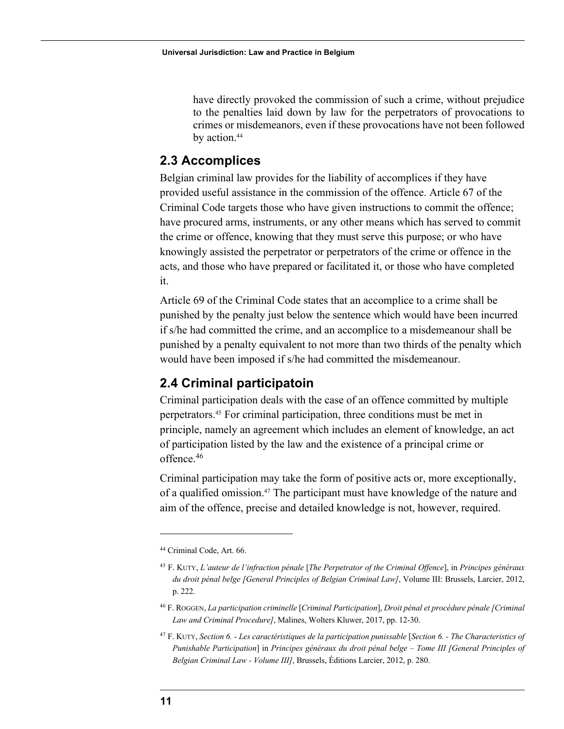have directly provoked the commission of such a crime, without prejudice to the penalties laid down by law for the perpetrators of provocations to crimes or misdemeanors, even if these provocations have not been followed by action. 44

## **2.3 Accomplices**

Belgian criminal law provides for the liability of accomplices if they have provided useful assistance in the commission of the offence. Article 67 of the Criminal Code targets those who have given instructions to commit the offence; have procured arms, instruments, or any other means which has served to commit the crime or offence, knowing that they must serve this purpose; or who have knowingly assisted the perpetrator or perpetrators of the crime or offence in the acts, and those who have prepared or facilitated it, or those who have completed it.

Article 69 of the Criminal Code states that an accomplice to a crime shall be punished by the penalty just below the sentence which would have been incurred if s/he had committed the crime, and an accomplice to a misdemeanour shall be punished by a penalty equivalent to not more than two thirds of the penalty which would have been imposed if s/he had committed the misdemeanour.

## **2.4 Criminal participatoin**

Criminal participation deals with the case of an offence committed by multiple perpetrators. <sup>45</sup> For criminal participation, three conditions must be met in principle, namely an agreement which includes an element of knowledge, an act of participation listed by the law and the existence of a principal crime or offence. 46

Criminal participation may take the form of positive acts or, more exceptionally, of a qualified omission.<sup>47</sup> The participant must have knowledge of the nature and aim of the offence, precise and detailed knowledge is not, however, required.

<sup>44</sup> Criminal Code, Art. 66.

<sup>45</sup> F. KUTY, *L'auteur de l'infraction pénale* [*The Perpetrator of the Criminal Offence*], in *Principes généraux du droit pénal belge [General Principles of Belgian Criminal Law]*, Volume III: Brussels, Larcier, 2012, p. 222.

<sup>46</sup> F. ROGGEN, *La participation criminelle* [*Criminal Participation*], *Droit pénal et procédure pénale [Criminal Law and Criminal Procedure]*, Malines, Wolters Kluwer, 2017, pp. 12-30.

<sup>47</sup> F. KUTY, *Section 6. - Les caractéristiques de la participation punissable* [*Section 6. - The Characteristics of Punishable Participation*] in *Principes généraux du droit pénal belge – Tome III [General Principles of Belgian Criminal Law - Volume III]*, Brussels, Éditions Larcier, 2012, p. 280.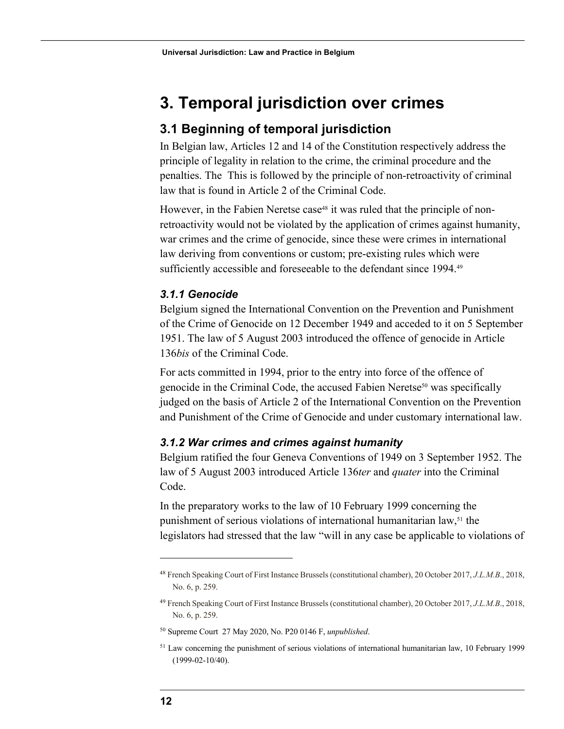# **3. Temporal jurisdiction over crimes**

## **3.1 Beginning of temporal jurisdiction**

In Belgian law, Articles 12 and 14 of the Constitution respectively address the principle of legality in relation to the crime, the criminal procedure and the penalties. The This is followed by the principle of non-retroactivity of criminal law that is found in Article 2 of the Criminal Code.

However, in the Fabien Neretse case<sup>48</sup> it was ruled that the principle of nonretroactivity would not be violated by the application of crimes against humanity, war crimes and the crime of genocide, since these were crimes in international law deriving from conventions or custom; pre-existing rules which were sufficiently accessible and foreseeable to the defendant since 1994.<sup>49</sup>

### *3.1.1 Genocide*

Belgium signed the International Convention on the Prevention and Punishment of the Crime of Genocide on 12 December 1949 and acceded to it on 5 September 1951. The law of 5 August 2003 introduced the offence of genocide in Article 136*bis* of the Criminal Code.

For acts committed in 1994, prior to the entry into force of the offence of genocide in the Criminal Code, the accused Fabien Neretse<sup>50</sup> was specifically judged on the basis of Article 2 of the International Convention on the Prevention and Punishment of the Crime of Genocide and under customary international law.

### *3.1.2 War crimes and crimes against humanity*

Belgium ratified the four Geneva Conventions of 1949 on 3 September 1952. The law of 5 August 2003 introduced Article 136*ter* and *quater* into the Criminal Code.

In the preparatory works to the law of 10 February 1999 concerning the punishment of serious violations of international humanitarian law, <sup>51</sup> the legislators had stressed that the law "will in any case be applicable to violations of

<sup>48</sup> French Speaking Court of First Instance Brussels (constitutional chamber), 20 October 2017, *J.L.M.B*., 2018, No. 6, p. 259.

<sup>49</sup> French Speaking Court of First Instance Brussels (constitutional chamber), 20 October 2017, *J.L.M.B*., 2018, No. 6, p. 259.

<sup>50</sup> Supreme Court 27 May 2020, No. P20 0146 F, *unpublished*.

<sup>51</sup> Law concerning the punishment of serious violations of international humanitarian law, 10 February 1999 (1999-02-10/40).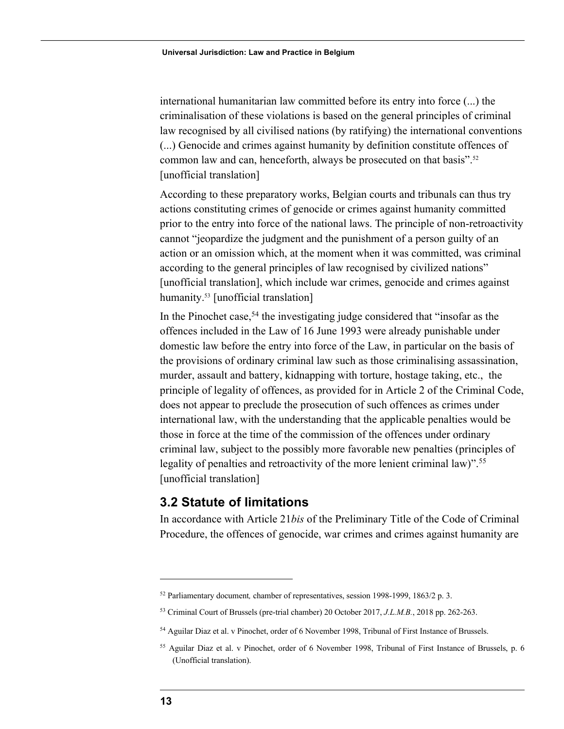international humanitarian law committed before its entry into force (...) the criminalisation of these violations is based on the general principles of criminal law recognised by all civilised nations (by ratifying) the international conventions (...) Genocide and crimes against humanity by definition constitute offences of common law and can, henceforth, always be prosecuted on that basis". 52 [unofficial translation]

According to these preparatory works, Belgian courts and tribunals can thus try actions constituting crimes of genocide or crimes against humanity committed prior to the entry into force of the national laws. The principle of non-retroactivity cannot "jeopardize the judgment and the punishment of a person guilty of an action or an omission which, at the moment when it was committed, was criminal according to the general principles of law recognised by civilized nations" [unofficial translation], which include war crimes, genocide and crimes against humanity. <sup>53</sup> [unofficial translation]

In the Pinochet case,<sup>54</sup> the investigating judge considered that "insofar as the offences included in the Law of 16 June 1993 were already punishable under domestic law before the entry into force of the Law, in particular on the basis of the provisions of ordinary criminal law such as those criminalising assassination, murder, assault and battery, kidnapping with torture, hostage taking, etc., the principle of legality of offences, as provided for in Article 2 of the Criminal Code, does not appear to preclude the prosecution of such offences as crimes under international law, with the understanding that the applicable penalties would be those in force at the time of the commission of the offences under ordinary criminal law, subject to the possibly more favorable new penalties (principles of legality of penalties and retroactivity of the more lenient criminal law)".<sup>55</sup> [unofficial translation]

## **3.2 Statute of limitations**

In accordance with Article 21*bis* of the Preliminary Title of the Code of Criminal Procedure, the offences of genocide, war crimes and crimes against humanity are

<sup>52</sup> Parliamentary document*,* chamber of representatives, session 1998-1999, 1863/2 p. 3.

<sup>53</sup> Criminal Court of Brussels (pre-trial chamber) 20 October 2017, *J.L.M.B.*, 2018 pp. 262-263.

<sup>54</sup> Aguilar Diaz et al. v Pinochet, order of 6 November 1998, Tribunal of First Instance of Brussels.

<sup>55</sup> Aguilar Diaz et al. v Pinochet, order of 6 November 1998, Tribunal of First Instance of Brussels, p. 6 (Unofficial translation).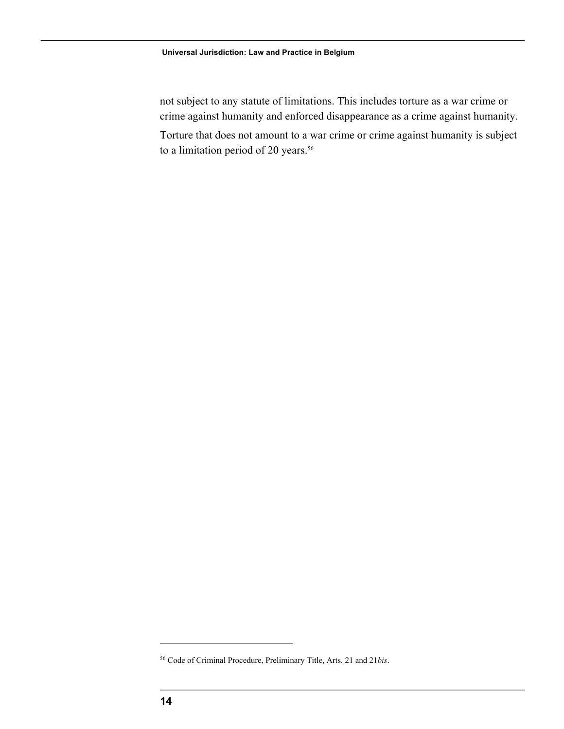not subject to any statute of limitations. This includes torture as a war crime or crime against humanity and enforced disappearance as a crime against humanity.

Torture that does not amount to a war crime or crime against humanity is subject to a limitation period of 20 years. 56

<sup>56</sup> Code of Criminal Procedure, Preliminary Title, Arts. 21 and 21*bis*.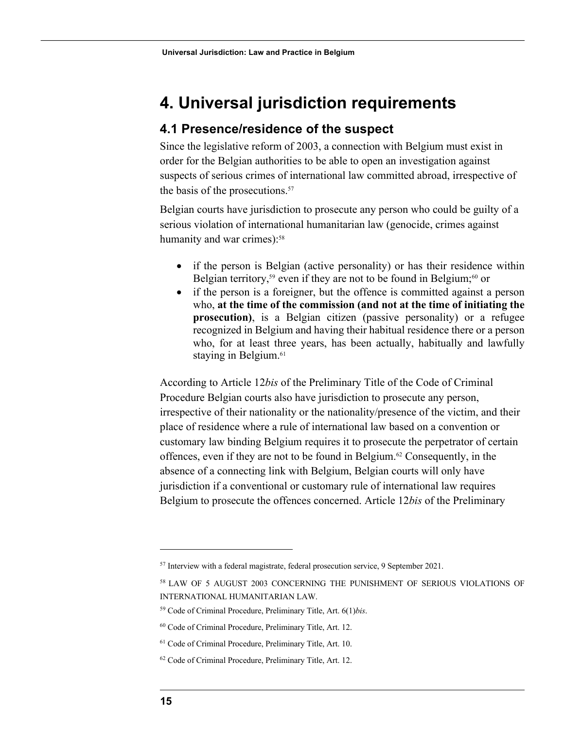# **4. Universal jurisdiction requirements**

## **4.1 Presence/residence of the suspect**

Since the legislative reform of 2003, a connection with Belgium must exist in order for the Belgian authorities to be able to open an investigation against suspects of serious crimes of international law committed abroad, irrespective of the basis of the prosecutions. 57

Belgian courts have jurisdiction to prosecute any person who could be guilty of a serious violation of international humanitarian law (genocide, crimes against humanity and war crimes):<sup>58</sup>

- if the person is Belgian (active personality) or has their residence within Belgian territory,<sup>59</sup> even if they are not to be found in Belgium;<sup>60</sup> or
- if the person is a foreigner, but the offence is committed against a person who, **at the time of the commission (and not at the time of initiating the prosecution)**, is a Belgian citizen (passive personality) or a refugee recognized in Belgium and having their habitual residence there or a person who, for at least three years, has been actually, habitually and lawfully staying in Belgium.<sup>61</sup>

According to Article 12*bis* of the Preliminary Title of the Code of Criminal Procedure Belgian courts also have jurisdiction to prosecute any person, irrespective of their nationality or the nationality/presence of the victim, and their place of residence where a rule of international law based on a convention or customary law binding Belgium requires it to prosecute the perpetrator of certain offences, even if they are not to be found in Belgium.62 Consequently, in the absence of a connecting link with Belgium, Belgian courts will only have jurisdiction if a conventional or customary rule of international law requires Belgium to prosecute the offences concerned. Article 12*bis* of the Preliminary

<sup>57</sup> Interview with a federal magistrate, federal prosecution service, 9 September 2021.

<sup>58</sup> LAW OF 5 AUGUST 2003 CONCERNING THE PUNISHMENT OF SERIOUS VIOLATIONS OF INTERNATIONAL HUMANITARIAN LAW.

<sup>59</sup> Code of Criminal Procedure, Preliminary Title, Art. 6(1)*bis*.

<sup>60</sup> Code of Criminal Procedure, Preliminary Title, Art. 12.

<sup>61</sup> Code of Criminal Procedure, Preliminary Title, Art. 10.

<sup>62</sup> Code of Criminal Procedure, Preliminary Title, Art. 12.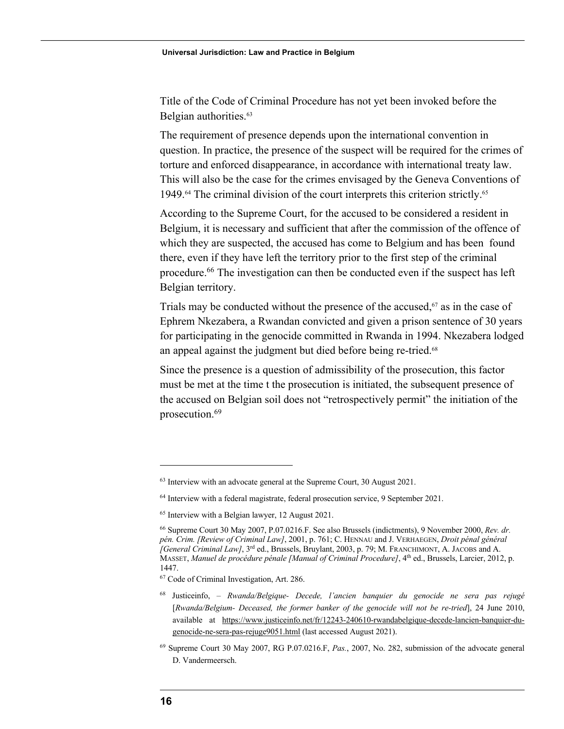Title of the Code of Criminal Procedure has not yet been invoked before the Belgian authorities. 63

The requirement of presence depends upon the international convention in question. In practice, the presence of the suspect will be required for the crimes of torture and enforced disappearance, in accordance with international treaty law. This will also be the case for the crimes envisaged by the Geneva Conventions of 1949. <sup>64</sup> The criminal division of the court interprets this criterion strictly. 65

According to the Supreme Court, for the accused to be considered a resident in Belgium, it is necessary and sufficient that after the commission of the offence of which they are suspected, the accused has come to Belgium and has been found there, even if they have left the territory prior to the first step of the criminal procedure.<sup>66</sup> The investigation can then be conducted even if the suspect has left Belgian territory.

Trials may be conducted without the presence of the accused, <sup>67</sup> as in the case of Ephrem Nkezabera, a Rwandan convicted and given a prison sentence of 30 years for participating in the genocide committed in Rwanda in 1994. Nkezabera lodged an appeal against the judgment but died before being re-tried.<sup>68</sup>

Since the presence is a question of admissibility of the prosecution, this factor must be met at the time t the prosecution is initiated, the subsequent presence of the accused on Belgian soil does not "retrospectively permit" the initiation of the prosecution. 69

<sup>&</sup>lt;sup>63</sup> Interview with an advocate general at the Supreme Court, 30 August 2021.

<sup>&</sup>lt;sup>64</sup> Interview with a federal magistrate, federal prosecution service, 9 September 2021.

<sup>65</sup> Interview with a Belgian lawyer, 12 August 2021.

<sup>66</sup> Supreme Court 30 May 2007, P.07.0216.F. See also Brussels (indictments), 9 November 2000, *Rev. dr. pén. Crim. [Review of Criminal Law]*, 2001, p. 761; C. HENNAU and J. VERHAEGEN, *Droit pénal général [General Criminal Law]*, 3rd ed., Brussels, Bruylant, 2003, p. 79; M. FRANCHIMONT, A. JACOBS and A. MASSET, *Manuel de procédure pénale [Manual of Criminal Procedure]*, 4<sup>th</sup> ed., Brussels, Larcier, 2012, p. 1447.

<sup>67</sup> Code of Criminal Investigation, Art. 286.

<sup>68</sup> Justiceinfo, *– Rwanda/Belgique- Decede, l'ancien banquier du genocide ne sera pas rejugé* [*Rwanda/Belgium- Deceased, the former banker of the genocide will not be re-tried*], 24 June 2010, available at https://www.justiceinfo.net/fr/12243-240610-rwandabelgique-decede-lancien-banquier-dugenocide-ne-sera-pas-rejuge9051.html (last accessed August 2021).

<sup>69</sup> Supreme Court 30 May 2007, RG P.07.0216.F, *Pas.*, 2007, No. 282, submission of the advocate general D. Vandermeersch.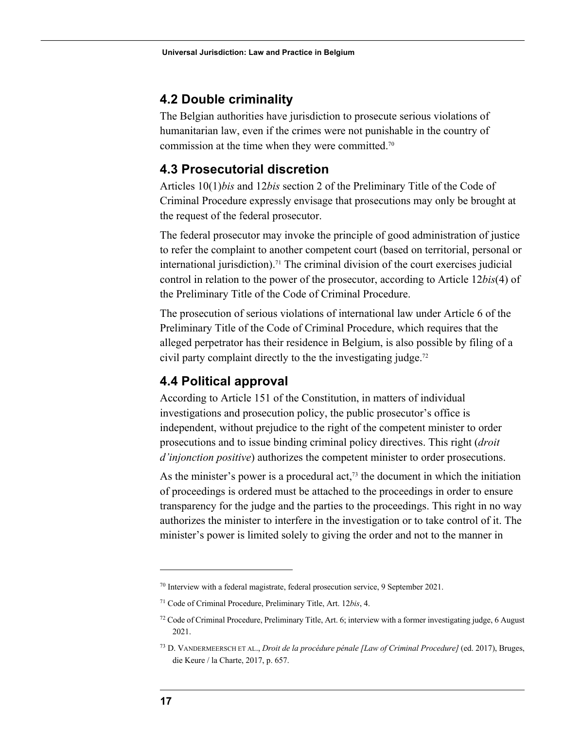## **4.2 Double criminality**

The Belgian authorities have jurisdiction to prosecute serious violations of humanitarian law, even if the crimes were not punishable in the country of commission at the time when they were committed.<sup>70</sup>

## **4.3 Prosecutorial discretion**

Articles 10(1)*bis* and 12*bis* section 2 of the Preliminary Title of the Code of Criminal Procedure expressly envisage that prosecutions may only be brought at the request of the federal prosecutor.

The federal prosecutor may invoke the principle of good administration of justice to refer the complaint to another competent court (based on territorial, personal or international jurisdiction). <sup>71</sup> The criminal division of the court exercises judicial control in relation to the power of the prosecutor, according to Article 12*bis*(4) of the Preliminary Title of the Code of Criminal Procedure.

The prosecution of serious violations of international law under Article 6 of the Preliminary Title of the Code of Criminal Procedure, which requires that the alleged perpetrator has their residence in Belgium, is also possible by filing of a civil party complaint directly to the the investigating judge. 72

## **4.4 Political approval**

According to Article 151 of the Constitution, in matters of individual investigations and prosecution policy, the public prosecutor's office is independent, without prejudice to the right of the competent minister to order prosecutions and to issue binding criminal policy directives. This right (*droit d'injonction positive*) authorizes the competent minister to order prosecutions.

As the minister's power is a procedural act, $7<sup>3</sup>$  the document in which the initiation of proceedings is ordered must be attached to the proceedings in order to ensure transparency for the judge and the parties to the proceedings. This right in no way authorizes the minister to interfere in the investigation or to take control of it. The minister's power is limited solely to giving the order and not to the manner in

<sup>70</sup> Interview with a federal magistrate, federal prosecution service, 9 September 2021.

<sup>71</sup> Code of Criminal Procedure, Preliminary Title, Art. 12*bis*, 4.

 $72 \text{ Code of Criminal Procedure},$  Preliminary Title, Art. 6; interview with a former investigating judge, 6 August 2021.

<sup>73</sup> D. VANDERMEERSCH ET AL., *Droit de la procédure pénale [Law of Criminal Procedure]* (ed. 2017), Bruges, die Keure / la Charte, 2017, p. 657.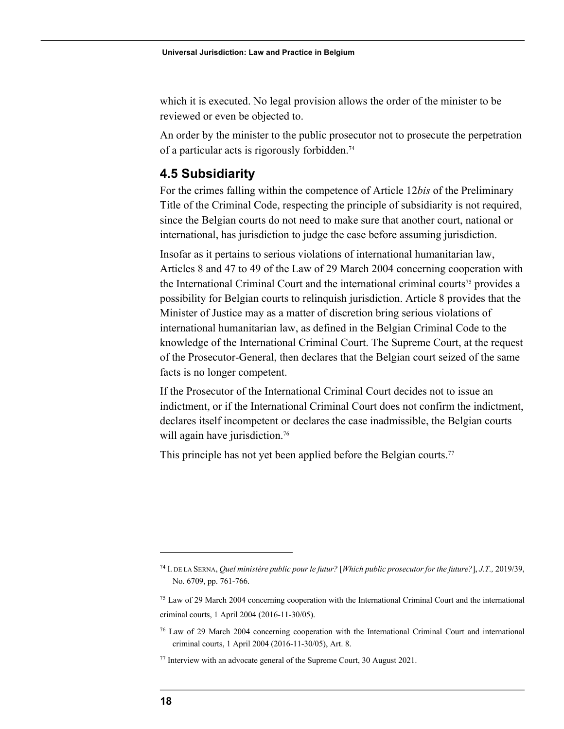which it is executed. No legal provision allows the order of the minister to be reviewed or even be objected to.

An order by the minister to the public prosecutor not to prosecute the perpetration of a particular acts is rigorously forbidden. 74

## **4.5 Subsidiarity**

For the crimes falling within the competence of Article 12*bis* of the Preliminary Title of the Criminal Code, respecting the principle of subsidiarity is not required, since the Belgian courts do not need to make sure that another court, national or international, has jurisdiction to judge the case before assuming jurisdiction.

Insofar as it pertains to serious violations of international humanitarian law, Articles 8 and 47 to 49 of the Law of 29 March 2004 concerning cooperation with the International Criminal Court and the international criminal courts<sup>75</sup> provides a possibility for Belgian courts to relinquish jurisdiction. Article 8 provides that the Minister of Justice may as a matter of discretion bring serious violations of international humanitarian law, as defined in the Belgian Criminal Code to the knowledge of the International Criminal Court. The Supreme Court, at the request of the Prosecutor-General, then declares that the Belgian court seized of the same facts is no longer competent.

If the Prosecutor of the International Criminal Court decides not to issue an indictment, or if the International Criminal Court does not confirm the indictment, declares itself incompetent or declares the case inadmissible, the Belgian courts will again have jurisdiction.<sup>76</sup>

This principle has not yet been applied before the Belgian courts.<sup>77</sup>

<sup>74</sup> I. DE LA SERNA, *Quel ministère public pour le futur?* [*Which public prosecutor for the future?*], *J.T.,* 2019/39, No. 6709, pp. 761-766.

<sup>75</sup> Law of 29 March 2004 concerning cooperation with the International Criminal Court and the international criminal courts, 1 April 2004 (2016-11-30/05).

<sup>76</sup> Law of 29 March 2004 concerning cooperation with the International Criminal Court and international criminal courts, 1 April 2004 (2016-11-30/05), Art. 8.

<sup>77</sup> Interview with an advocate general of the Supreme Court, 30 August 2021.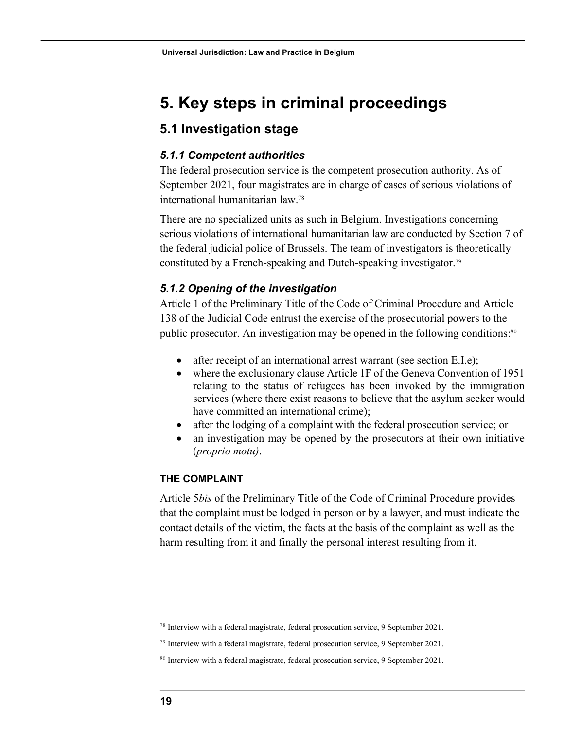# **5. Key steps in criminal proceedings**

## **5.1 Investigation stage**

### *5.1.1 Competent authorities*

The federal prosecution service is the competent prosecution authority. As of September 2021, four magistrates are in charge of cases of serious violations of international humanitarian law. 78

There are no specialized units as such in Belgium. Investigations concerning serious violations of international humanitarian law are conducted by Section 7 of the federal judicial police of Brussels. The team of investigators is theoretically constituted by a French-speaking and Dutch-speaking investigator. 79

## *5.1.2 Opening of the investigation*

Article 1 of the Preliminary Title of the Code of Criminal Procedure and Article 138 of the Judicial Code entrust the exercise of the prosecutorial powers to the public prosecutor. An investigation may be opened in the following conditions:<sup>80</sup>

- after receipt of an international arrest warrant (see section E.I.e);
- where the exclusionary clause Article 1F of the Geneva Convention of 1951 relating to the status of refugees has been invoked by the immigration services (where there exist reasons to believe that the asylum seeker would have committed an international crime);
- after the lodging of a complaint with the federal prosecution service; or
- an investigation may be opened by the prosecutors at their own initiative (*proprio motu)*.

## **THE COMPLAINT**

Article 5*bis* of the Preliminary Title of the Code of Criminal Procedure provides that the complaint must be lodged in person or by a lawyer, and must indicate the contact details of the victim, the facts at the basis of the complaint as well as the harm resulting from it and finally the personal interest resulting from it.

<sup>78</sup> Interview with a federal magistrate, federal prosecution service, 9 September 2021.

<sup>79</sup> Interview with a federal magistrate, federal prosecution service, 9 September 2021.

<sup>80</sup> Interview with a federal magistrate, federal prosecution service, 9 September 2021.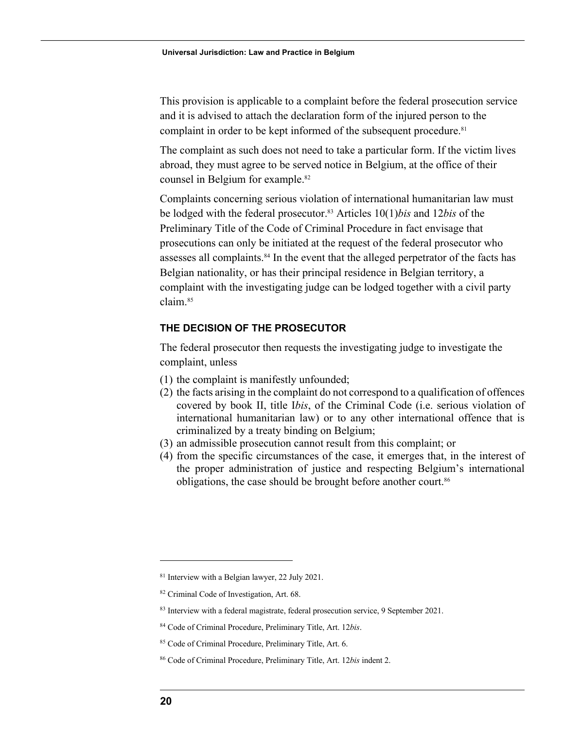This provision is applicable to a complaint before the federal prosecution service and it is advised to attach the declaration form of the injured person to the complaint in order to be kept informed of the subsequent procedure. 81

The complaint as such does not need to take a particular form. If the victim lives abroad, they must agree to be served notice in Belgium, at the office of their counsel in Belgium for example. 82

Complaints concerning serious violation of international humanitarian law must be lodged with the federal prosecutor. <sup>83</sup> Articles 10(1)*bis* and 12*bis* of the Preliminary Title of the Code of Criminal Procedure in fact envisage that prosecutions can only be initiated at the request of the federal prosecutor who assesses all complaints.<sup>84</sup> In the event that the alleged perpetrator of the facts has Belgian nationality, or has their principal residence in Belgian territory, a complaint with the investigating judge can be lodged together with a civil party claim.85

#### **THE DECISION OF THE PROSECUTOR**

The federal prosecutor then requests the investigating judge to investigate the complaint, unless

- (1) the complaint is manifestly unfounded;
- (2) the facts arising in the complaint do not correspond to a qualification of offences covered by book II, title I*bis*, of the Criminal Code (i.e. serious violation of international humanitarian law) or to any other international offence that is criminalized by a treaty binding on Belgium;
- (3) an admissible prosecution cannot result from this complaint; or
- (4) from the specific circumstances of the case, it emerges that, in the interest of the proper administration of justice and respecting Belgium's international obligations, the case should be brought before another court. 86

<sup>81</sup> Interview with a Belgian lawyer, 22 July 2021.

<sup>82</sup> Criminal Code of Investigation, Art. 68.

<sup>83</sup> Interview with a federal magistrate, federal prosecution service, 9 September 2021.

<sup>84</sup> Code of Criminal Procedure, Preliminary Title, Art. 12*bis*.

<sup>85</sup> Code of Criminal Procedure, Preliminary Title, Art. 6.

<sup>86</sup> Code of Criminal Procedure, Preliminary Title, Art. 12*bis* indent 2.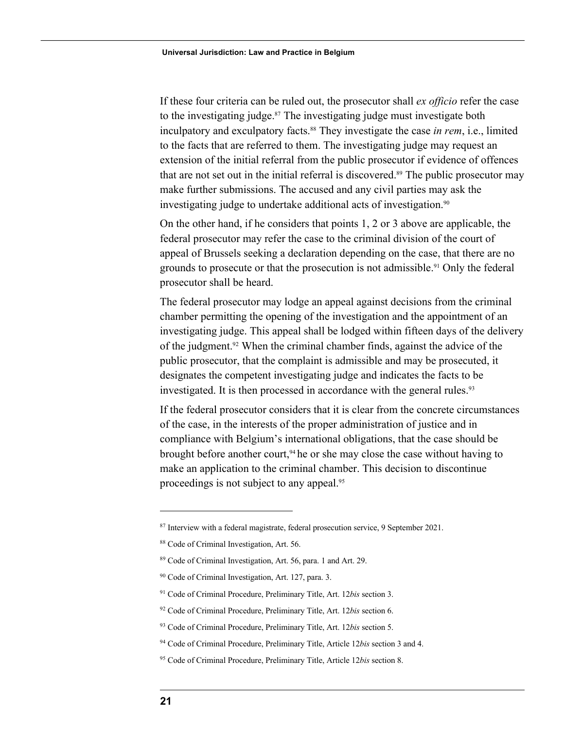If these four criteria can be ruled out, the prosecutor shall *ex officio* refer the case to the investigating judge. <sup>87</sup> The investigating judge must investigate both inculpatory and exculpatory facts.88 They investigate the case *in rem*, i.e., limited to the facts that are referred to them. The investigating judge may request an extension of the initial referral from the public prosecutor if evidence of offences that are not set out in the initial referral is discovered. <sup>89</sup> The public prosecutor may make further submissions. The accused and any civil parties may ask the investigating judge to undertake additional acts of investigation.<sup>90</sup>

On the other hand, if he considers that points 1, 2 or 3 above are applicable, the federal prosecutor may refer the case to the criminal division of the court of appeal of Brussels seeking a declaration depending on the case, that there are no grounds to prosecute or that the prosecution is not admissible. <sup>91</sup> Only the federal prosecutor shall be heard.

The federal prosecutor may lodge an appeal against decisions from the criminal chamber permitting the opening of the investigation and the appointment of an investigating judge. This appeal shall be lodged within fifteen days of the delivery of the judgment. <sup>92</sup> When the criminal chamber finds, against the advice of the public prosecutor, that the complaint is admissible and may be prosecuted, it designates the competent investigating judge and indicates the facts to be investigated. It is then processed in accordance with the general rules.<sup>93</sup>

If the federal prosecutor considers that it is clear from the concrete circumstances of the case, in the interests of the proper administration of justice and in compliance with Belgium's international obligations, that the case should be brought before another court, <sup>94</sup> he or she may close the case without having to make an application to the criminal chamber. This decision to discontinue proceedings is not subject to any appeal.<sup>95</sup>

<sup>&</sup>lt;sup>87</sup> Interview with a federal magistrate, federal prosecution service, 9 September 2021.

<sup>88</sup> Code of Criminal Investigation, Art. 56.

<sup>89</sup> Code of Criminal Investigation, Art. 56, para. 1 and Art. 29.

<sup>90</sup> Code of Criminal Investigation, Art. 127, para. 3.

<sup>91</sup> Code of Criminal Procedure, Preliminary Title, Art. 12*bis* section 3.

<sup>92</sup> Code of Criminal Procedure, Preliminary Title, Art. 12*bis* section 6.

<sup>93</sup> Code of Criminal Procedure, Preliminary Title, Art. 12*bis* section 5.

<sup>94</sup> Code of Criminal Procedure, Preliminary Title, Article 12*bis* section 3 and 4.

<sup>95</sup> Code of Criminal Procedure, Preliminary Title, Article 12*bis* section 8.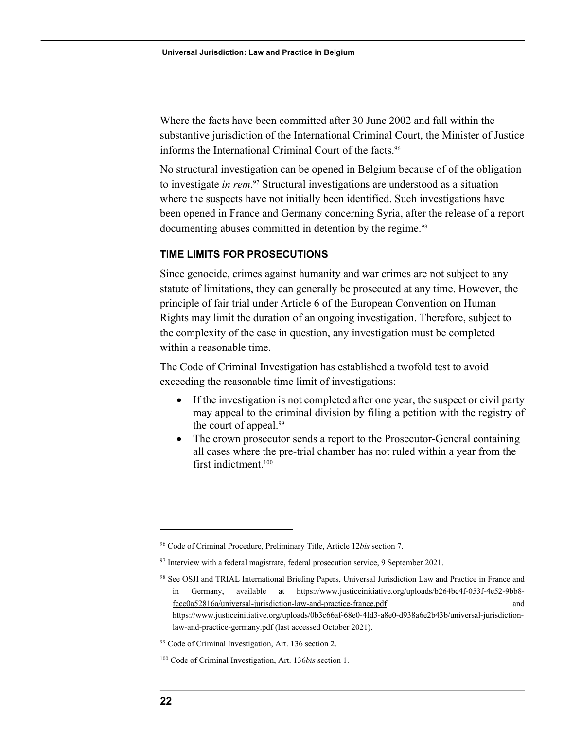Where the facts have been committed after 30 June 2002 and fall within the substantive jurisdiction of the International Criminal Court, the Minister of Justice informs the International Criminal Court of the facts. 96

No structural investigation can be opened in Belgium because of of the obligation to investigate *in rem*. <sup>97</sup> Structural investigations are understood as a situation where the suspects have not initially been identified. Such investigations have been opened in France and Germany concerning Syria, after the release of a report documenting abuses committed in detention by the regime.<sup>98</sup>

#### **TIME LIMITS FOR PROSECUTIONS**

Since genocide, crimes against humanity and war crimes are not subject to any statute of limitations, they can generally be prosecuted at any time. However, the principle of fair trial under Article 6 of the European Convention on Human Rights may limit the duration of an ongoing investigation. Therefore, subject to the complexity of the case in question, any investigation must be completed within a reasonable time.

The Code of Criminal Investigation has established a twofold test to avoid exceeding the reasonable time limit of investigations:

- If the investigation is not completed after one year, the suspect or civil party may appeal to the criminal division by filing a petition with the registry of the court of appeal.<sup>99</sup>
- The crown prosecutor sends a report to the Prosecutor-General containing all cases where the pre-trial chamber has not ruled within a year from the first indictment.<sup>100</sup>

<sup>96</sup> Code of Criminal Procedure, Preliminary Title, Article 12*bis* section 7.

 $97$  Interview with a federal magistrate, federal prosecution service, 9 September 2021.

<sup>98</sup> See OSJI and TRIAL International Briefing Papers, Universal Jurisdiction Law and Practice in France and in Germany, available at https://www.justiceinitiative.org/uploads/b264bc4f-053f-4e52-9bb8 fccc0a52816a/universal-jurisdiction-law-and-practice-france.pdf and https://www.justiceinitiative.org/uploads/0b3c66af-68e0-4fd3-a8e0-d938a6e2b43b/universal-jurisdictionlaw-and-practice-germany.pdf (last accessed October 2021).

<sup>99</sup> Code of Criminal Investigation, Art. 136 section 2.

<sup>100</sup> Code of Criminal Investigation, Art. 136*bis* section 1.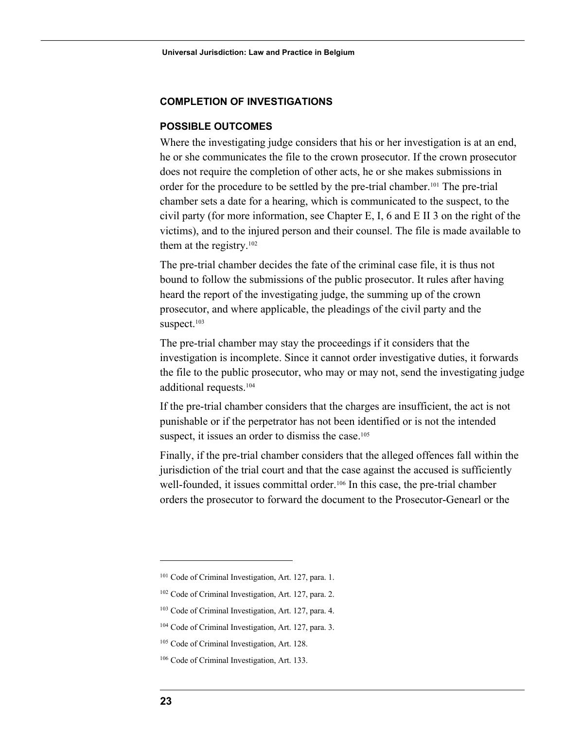#### **COMPLETION OF INVESTIGATIONS**

#### **POSSIBLE OUTCOMES**

Where the investigating judge considers that his or her investigation is at an end, he or she communicates the file to the crown prosecutor. If the crown prosecutor does not require the completion of other acts, he or she makes submissions in order for the procedure to be settled by the pre-trial chamber. <sup>101</sup> The pre-trial chamber sets a date for a hearing, which is communicated to the suspect, to the civil party (for more information, see Chapter E, I, 6 and E II 3 on the right of the victims), and to the injured person and their counsel. The file is made available to them at the registry. 102

The pre-trial chamber decides the fate of the criminal case file, it is thus not bound to follow the submissions of the public prosecutor. It rules after having heard the report of the investigating judge, the summing up of the crown prosecutor, and where applicable, the pleadings of the civil party and the suspect.<sup>103</sup>

The pre-trial chamber may stay the proceedings if it considers that the investigation is incomplete. Since it cannot order investigative duties, it forwards the file to the public prosecutor, who may or may not, send the investigating judge additional requests.104

If the pre-trial chamber considers that the charges are insufficient, the act is not punishable or if the perpetrator has not been identified or is not the intended suspect, it issues an order to dismiss the case.<sup>105</sup>

Finally, if the pre-trial chamber considers that the alleged offences fall within the jurisdiction of the trial court and that the case against the accused is sufficiently well-founded, it issues committal order.<sup>106</sup> In this case, the pre-trial chamber orders the prosecutor to forward the document to the Prosecutor-Genearl or the

<sup>101</sup> Code of Criminal Investigation, Art. 127, para. 1.

<sup>102</sup> Code of Criminal Investigation, Art. 127, para. 2.

<sup>103</sup> Code of Criminal Investigation, Art. 127, para. 4.

<sup>104</sup> Code of Criminal Investigation, Art. 127, para. 3.

<sup>105</sup> Code of Criminal Investigation, Art. 128.

<sup>106</sup> Code of Criminal Investigation, Art. 133.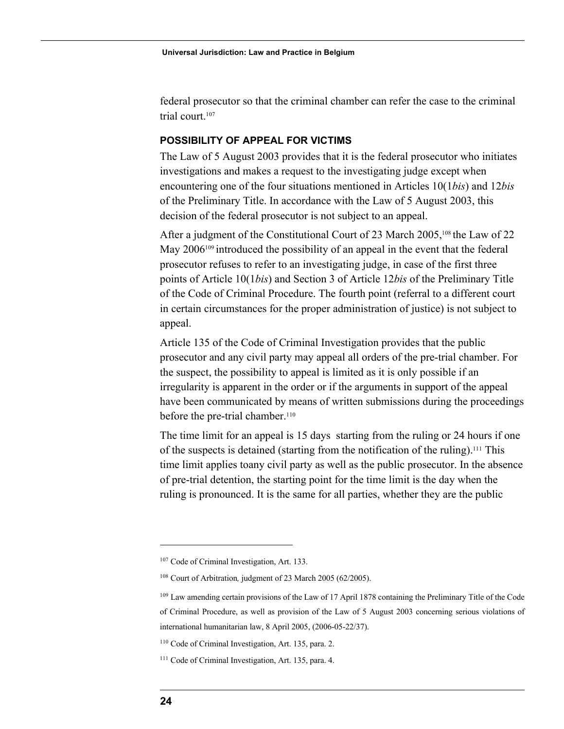federal prosecutor so that the criminal chamber can refer the case to the criminal trial court. 107

#### **POSSIBILITY OF APPEAL FOR VICTIMS**

The Law of 5 August 2003 provides that it is the federal prosecutor who initiates investigations and makes a request to the investigating judge except when encountering one of the four situations mentioned in Articles 10(1*bis*) and 12*bis* of the Preliminary Title. In accordance with the Law of 5 August 2003, this decision of the federal prosecutor is not subject to an appeal.

After a judgment of the Constitutional Court of 23 March 2005, <sup>108</sup> the Law of 22 May 2006<sup>109</sup> introduced the possibility of an appeal in the event that the federal prosecutor refuses to refer to an investigating judge, in case of the first three points of Article 10(1*bis*) and Section 3 of Article 12*bis* of the Preliminary Title of the Code of Criminal Procedure. The fourth point (referral to a different court in certain circumstances for the proper administration of justice) is not subject to appeal.

Article 135 of the Code of Criminal Investigation provides that the public prosecutor and any civil party may appeal all orders of the pre-trial chamber. For the suspect, the possibility to appeal is limited as it is only possible if an irregularity is apparent in the order or if the arguments in support of the appeal have been communicated by means of written submissions during the proceedings before the pre-trial chamber.<sup>110</sup>

The time limit for an appeal is 15 days starting from the ruling or 24 hours if one of the suspects is detained (starting from the notification of the ruling). <sup>111</sup> This time limit applies toany civil party as well as the public prosecutor. In the absence of pre-trial detention, the starting point for the time limit is the day when the ruling is pronounced. It is the same for all parties, whether they are the public

<sup>&</sup>lt;sup>107</sup> Code of Criminal Investigation, Art. 133.

<sup>108</sup> Court of Arbitration*,* judgment of 23 March 2005 (62/2005).

<sup>&</sup>lt;sup>109</sup> Law amending certain provisions of the Law of 17 April 1878 containing the Preliminary Title of the Code of Criminal Procedure, as well as provision of the Law of 5 August 2003 concerning serious violations of international humanitarian law, 8 April 2005, (2006-05-22/37).

<sup>110</sup> Code of Criminal Investigation, Art. 135, para. 2.

<sup>111</sup> Code of Criminal Investigation, Art. 135, para. 4.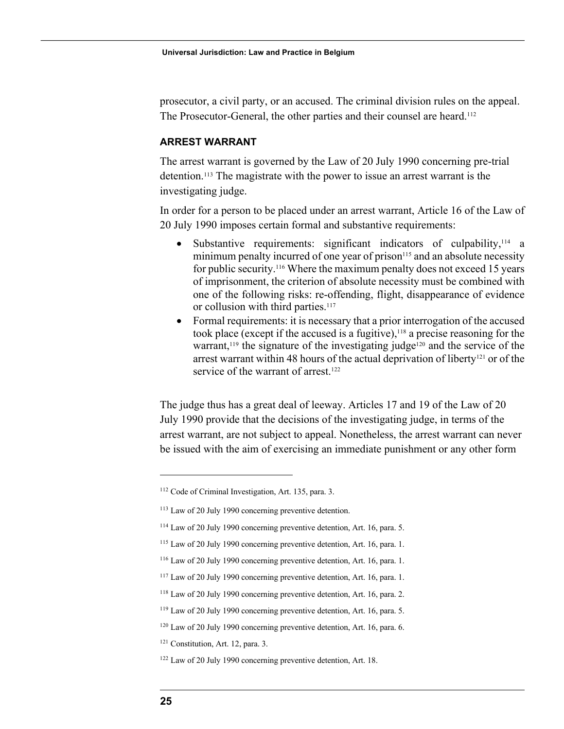prosecutor, a civil party, or an accused. The criminal division rules on the appeal. The Prosecutor-General, the other parties and their counsel are heard.<sup>112</sup>

#### **ARREST WARRANT**

The arrest warrant is governed by the Law of 20 July 1990 concerning pre-trial detention. <sup>113</sup> The magistrate with the power to issue an arrest warrant is the investigating judge.

In order for a person to be placed under an arrest warrant, Article 16 of the Law of 20 July 1990 imposes certain formal and substantive requirements:

- Substantive requirements: significant indicators of culpability,<sup>114</sup> a minimum penalty incurred of one year of prison<sup>115</sup> and an absolute necessity for public security.<sup>116</sup> Where the maximum penalty does not exceed 15 years of imprisonment, the criterion of absolute necessity must be combined with one of the following risks: re-offending, flight, disappearance of evidence or collusion with third parties.<sup>117</sup>
- Formal requirements: it is necessary that a prior interrogation of the accused took place (except if the accused is a fugitive), <sup>118</sup> a precise reasoning for the warrant,<sup>119</sup> the signature of the investigating judge<sup>120</sup> and the service of the arrest warrant within 48 hours of the actual deprivation of liberty<sup>121</sup> or of the service of the warrant of arrest.<sup>122</sup>

The judge thus has a great deal of leeway. Articles 17 and 19 of the Law of 20 July 1990 provide that the decisions of the investigating judge, in terms of the arrest warrant, are not subject to appeal. Nonetheless, the arrest warrant can never be issued with the aim of exercising an immediate punishment or any other form

- <sup>115</sup> Law of 20 July 1990 concerning preventive detention, Art. 16, para. 1.
- <sup>116</sup> Law of 20 July 1990 concerning preventive detention, Art. 16, para. 1.
- <sup>117</sup> Law of 20 July 1990 concerning preventive detention, Art. 16, para. 1.
- <sup>118</sup> Law of 20 July 1990 concerning preventive detention, Art. 16, para. 2.

<sup>112</sup> Code of Criminal Investigation, Art. 135, para. 3.

<sup>113</sup> Law of 20 July 1990 concerning preventive detention.

<sup>114</sup> Law of 20 July 1990 concerning preventive detention, Art. 16, para. 5.

<sup>119</sup> Law of 20 July 1990 concerning preventive detention, Art. 16, para. 5.

<sup>120</sup> Law of 20 July 1990 concerning preventive detention, Art. 16, para. 6.

<sup>&</sup>lt;sup>121</sup> Constitution, Art. 12, para. 3.

<sup>122</sup> Law of 20 July 1990 concerning preventive detention, Art. 18.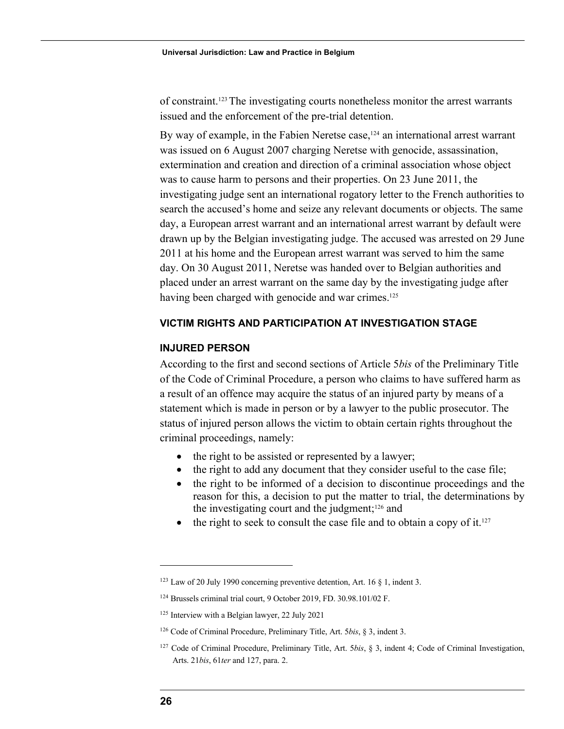of constraint. 123The investigating courts nonetheless monitor the arrest warrants issued and the enforcement of the pre-trial detention.

By way of example, in the Fabien Neretse case, <sup>124</sup> an international arrest warrant was issued on 6 August 2007 charging Neretse with genocide, assassination, extermination and creation and direction of a criminal association whose object was to cause harm to persons and their properties. On 23 June 2011, the investigating judge sent an international rogatory letter to the French authorities to search the accused's home and seize any relevant documents or objects. The same day, a European arrest warrant and an international arrest warrant by default were drawn up by the Belgian investigating judge. The accused was arrested on 29 June 2011 at his home and the European arrest warrant was served to him the same day. On 30 August 2011, Neretse was handed over to Belgian authorities and placed under an arrest warrant on the same day by the investigating judge after having been charged with genocide and war crimes.<sup>125</sup>

#### **VICTIM RIGHTS AND PARTICIPATION AT INVESTIGATION STAGE**

#### **INJURED PERSON**

According to the first and second sections of Article 5*bis* of the Preliminary Title of the Code of Criminal Procedure, a person who claims to have suffered harm as a result of an offence may acquire the status of an injured party by means of a statement which is made in person or by a lawyer to the public prosecutor. The status of injured person allows the victim to obtain certain rights throughout the criminal proceedings, namely:

- the right to be assisted or represented by a lawyer;
- the right to add any document that they consider useful to the case file;
- the right to be informed of a decision to discontinue proceedings and the reason for this, a decision to put the matter to trial, the determinations by the investigating court and the judgment;126 and
- the right to seek to consult the case file and to obtain a copy of it. $127$

<sup>123</sup> Law of 20 July 1990 concerning preventive detention, Art. 16 § 1, indent 3.

<sup>124</sup> Brussels criminal trial court, 9 October 2019, FD. 30.98.101/02 F.

<sup>125</sup> Interview with a Belgian lawyer, 22 July 2021

<sup>126</sup> Code of Criminal Procedure, Preliminary Title, Art. 5*bis*, § 3, indent 3.

<sup>127</sup> Code of Criminal Procedure, Preliminary Title, Art. 5*bis*, § 3, indent 4; Code of Criminal Investigation, Arts. 21*bis*, 61*ter* and 127, para. 2.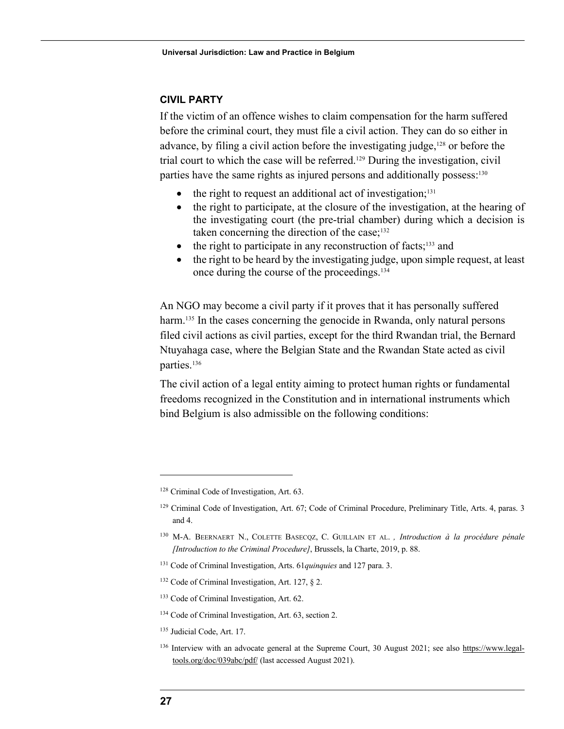#### **CIVIL PARTY**

If the victim of an offence wishes to claim compensation for the harm suffered before the criminal court, they must file a civil action. They can do so either in advance, by filing a civil action before the investigating judge, <sup>128</sup> or before the trial court to which the case will be referred. <sup>129</sup> During the investigation, civil parties have the same rights as injured persons and additionally possess:<sup>130</sup>

- $\bullet$  the right to request an additional act of investigation;<sup>131</sup>
- the right to participate, at the closure of the investigation, at the hearing of the investigating court (the pre-trial chamber) during which a decision is taken concerning the direction of the case; $132$
- the right to participate in any reconstruction of facts; $^{133}$  and
- the right to be heard by the investigating judge, upon simple request, at least once during the course of the proceedings.134

An NGO may become a civil party if it proves that it has personally suffered harm.<sup>135</sup> In the cases concerning the genocide in Rwanda, only natural persons filed civil actions as civil parties, except for the third Rwandan trial, the Bernard Ntuyahaga case, where the Belgian State and the Rwandan State acted as civil parties. 136

The civil action of a legal entity aiming to protect human rights or fundamental freedoms recognized in the Constitution and in international instruments which bind Belgium is also admissible on the following conditions:

- <sup>133</sup> Code of Criminal Investigation, Art. 62.
- <sup>134</sup> Code of Criminal Investigation, Art. 63, section 2.

<sup>128</sup> Criminal Code of Investigation, Art. 63.

<sup>&</sup>lt;sup>129</sup> Criminal Code of Investigation, Art. 67; Code of Criminal Procedure, Preliminary Title, Arts. 4, paras. 3 and 4.

<sup>130</sup> M-A. BEERNAERT N., COLETTE BASECQZ, C. GUILLAIN ET AL. *, Introduction à la procédure pénale [Introduction to the Criminal Procedure]*, Brussels, la Charte, 2019, p. 88.

<sup>131</sup> Code of Criminal Investigation, Arts. 61*quinquies* and 127 para. 3.

<sup>&</sup>lt;sup>132</sup> Code of Criminal Investigation, Art. 127, § 2.

<sup>135</sup> Judicial Code, Art. 17.

<sup>&</sup>lt;sup>136</sup> Interview with an advocate general at the Supreme Court, 30 August 2021; see also https://www.legaltools.org/doc/039abc/pdf/ (last accessed August 2021).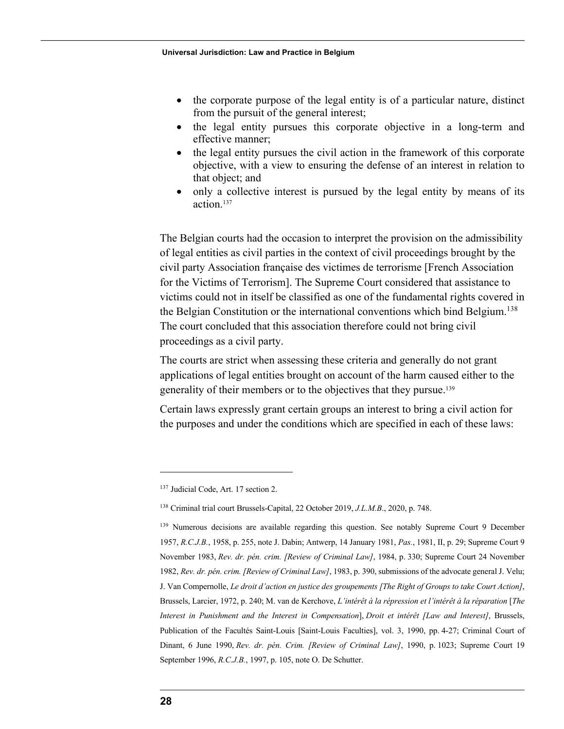- the corporate purpose of the legal entity is of a particular nature, distinct from the pursuit of the general interest;
- the legal entity pursues this corporate objective in a long-term and effective manner;
- the legal entity pursues the civil action in the framework of this corporate objective, with a view to ensuring the defense of an interest in relation to that object; and
- only a collective interest is pursued by the legal entity by means of its action.137

The Belgian courts had the occasion to interpret the provision on the admissibility of legal entities as civil parties in the context of civil proceedings brought by the civil party Association française des victimes de terrorisme [French Association for the Victims of Terrorism]. The Supreme Court considered that assistance to victims could not in itself be classified as one of the fundamental rights covered in the Belgian Constitution or the international conventions which bind Belgium. 138 The court concluded that this association therefore could not bring civil proceedings as a civil party.

The courts are strict when assessing these criteria and generally do not grant applications of legal entities brought on account of the harm caused either to the generality of their members or to the objectives that they pursue. 139

Certain laws expressly grant certain groups an interest to bring a civil action for the purposes and under the conditions which are specified in each of these laws:

<sup>137</sup> Judicial Code, Art. 17 section 2.

<sup>138</sup> Criminal trial court Brussels-Capital, 22 October 2019, *J.L.M.B*., 2020, p. 748.

<sup>&</sup>lt;sup>139</sup> Numerous decisions are available regarding this question. See notably Supreme Court 9 December 1957, *R.C.J.B.*, 1958, p. 255, note J. Dabin; Antwerp, 14 January 1981, *Pas.*, 1981, II, p. 29; Supreme Court 9 November 1983, *Rev. dr. pén. crim. [Review of Criminal Law]*, 1984, p. 330; Supreme Court 24 November 1982, *Rev. dr. pén. crim. [Review of Criminal Law]*, 1983, p. 390, submissions of the advocate general J. Velu; J. Van Compernolle, *Le droit d'action en justice des groupements [The Right of Groups to take Court Action]*, Brussels, Larcier, 1972, p. 240; M. van de Kerchove, *L'intérêt à la répression et l'intérêt à la réparation* [*The Interest in Punishment and the Interest in Compensation*], *Droit et intérêt [Law and Interest]*, Brussels, Publication of the Facultés Saint-Louis [Saint-Louis Faculties], vol. 3, 1990, pp. 4-27; Criminal Court of Dinant, 6 June 1990, *Rev. dr. pén. Crim. [Review of Criminal Law]*, 1990, p. 1023; Supreme Court 19 September 1996, *R.C.J.B.*, 1997, p. 105, note O. De Schutter.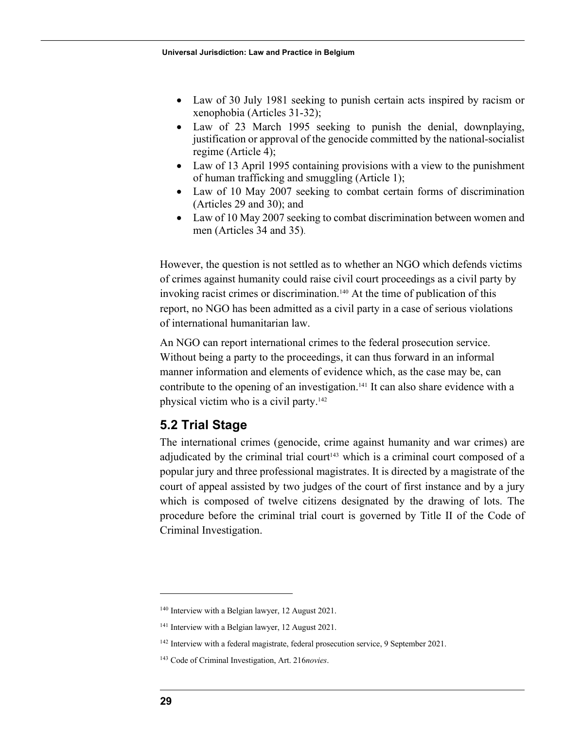- Law of 30 July 1981 seeking to punish certain acts inspired by racism or xenophobia (Articles 31-32);
- Law of 23 March 1995 seeking to punish the denial, downplaying, justification or approval of the genocide committed by the national-socialist regime (Article 4);
- Law of 13 April 1995 containing provisions with a view to the punishment of human trafficking and smuggling (Article 1);
- Law of 10 May 2007 seeking to combat certain forms of discrimination (Articles 29 and 30); and
- Law of 10 May 2007 seeking to combat discrimination between women and men (Articles 34 and 35).

However, the question is not settled as to whether an NGO which defends victims of crimes against humanity could raise civil court proceedings as a civil party by invoking racist crimes or discrimination. <sup>140</sup> At the time of publication of this report, no NGO has been admitted as a civil party in a case of serious violations of international humanitarian law.

An NGO can report international crimes to the federal prosecution service. Without being a party to the proceedings, it can thus forward in an informal manner information and elements of evidence which, as the case may be, can contribute to the opening of an investigation.<sup>141</sup> It can also share evidence with a physical victim who is a civil party. 142

## **5.2 Trial Stage**

The international crimes (genocide, crime against humanity and war crimes) are adjudicated by the criminal trial court<sup>143</sup> which is a criminal court composed of a popular jury and three professional magistrates. It is directed by a magistrate of the court of appeal assisted by two judges of the court of first instance and by a jury which is composed of twelve citizens designated by the drawing of lots. The procedure before the criminal trial court is governed by Title II of the Code of Criminal Investigation.

<sup>140</sup> Interview with a Belgian lawyer, 12 August 2021.

<sup>&</sup>lt;sup>141</sup> Interview with a Belgian lawyer, 12 August 2021.

<sup>&</sup>lt;sup>142</sup> Interview with a federal magistrate, federal prosecution service, 9 September 2021.

<sup>143</sup> Code of Criminal Investigation, Art. 216*novies*.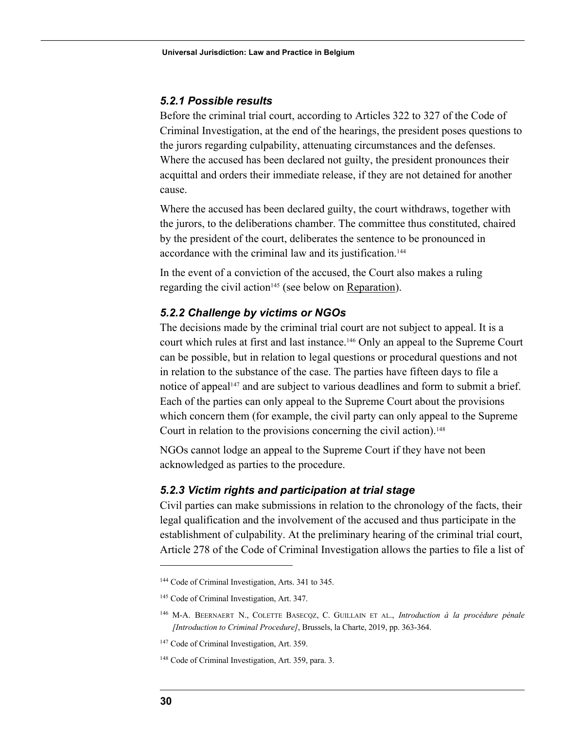#### *5.2.1 Possible results*

Before the criminal trial court, according to Articles 322 to 327 of the Code of Criminal Investigation, at the end of the hearings, the president poses questions to the jurors regarding culpability, attenuating circumstances and the defenses. Where the accused has been declared not guilty, the president pronounces their acquittal and orders their immediate release, if they are not detained for another cause.

Where the accused has been declared guilty, the court withdraws, together with the jurors, to the deliberations chamber. The committee thus constituted, chaired by the president of the court, deliberates the sentence to be pronounced in accordance with the criminal law and its justification.<sup>144</sup>

In the event of a conviction of the accused, the Court also makes a ruling regarding the civil action<sup>145</sup> (see below on Reparation).

#### *5.2.2 Challenge by victims or NGOs*

The decisions made by the criminal trial court are not subject to appeal. It is a court which rules at first and last instance. <sup>146</sup> Only an appeal to the Supreme Court can be possible, but in relation to legal questions or procedural questions and not in relation to the substance of the case. The parties have fifteen days to file a notice of appeal<sup>147</sup> and are subject to various deadlines and form to submit a brief. Each of the parties can only appeal to the Supreme Court about the provisions which concern them (for example, the civil party can only appeal to the Supreme Court in relation to the provisions concerning the civil action).<sup>148</sup>

NGOs cannot lodge an appeal to the Supreme Court if they have not been acknowledged as parties to the procedure.

#### *5.2.3 Victim rights and participation at trial stage*

Civil parties can make submissions in relation to the chronology of the facts, their legal qualification and the involvement of the accused and thus participate in the establishment of culpability. At the preliminary hearing of the criminal trial court, Article 278 of the Code of Criminal Investigation allows the parties to file a list of

<sup>144</sup> Code of Criminal Investigation, Arts. 341 to 345.

<sup>145</sup> Code of Criminal Investigation, Art. 347.

<sup>146</sup> M-A. BEERNAERT N., COLETTE BASECQZ, C. GUILLAIN ET AL., *Introduction à la procédure pénale [Introduction to Criminal Procedure]*, Brussels, la Charte, 2019, pp. 363-364.

<sup>&</sup>lt;sup>147</sup> Code of Criminal Investigation, Art. 359.

<sup>148</sup> Code of Criminal Investigation, Art. 359, para. 3.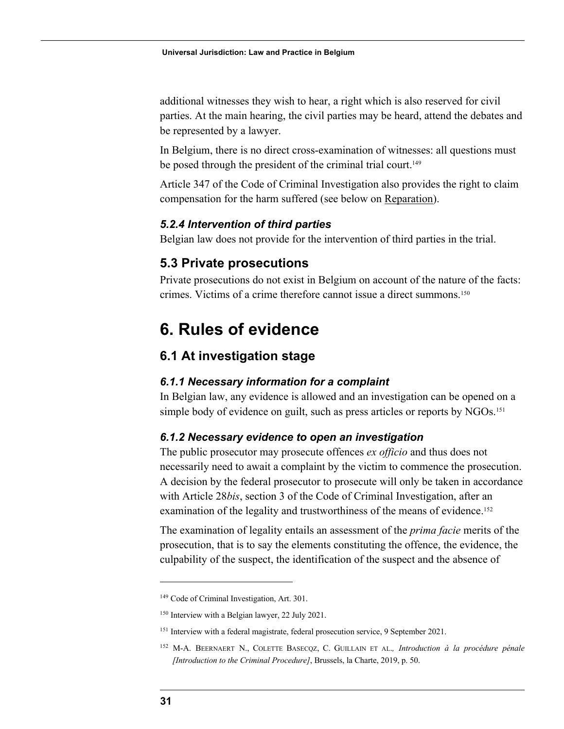additional witnesses they wish to hear, a right which is also reserved for civil parties. At the main hearing, the civil parties may be heard, attend the debates and be represented by a lawyer.

In Belgium, there is no direct cross-examination of witnesses: all questions must be posed through the president of the criminal trial court.<sup>149</sup>

Article 347 of the Code of Criminal Investigation also provides the right to claim compensation for the harm suffered (see below on Reparation).

#### *5.2.4 Intervention of third parties*

Belgian law does not provide for the intervention of third parties in the trial.

## **5.3 Private prosecutions**

Private prosecutions do not exist in Belgium on account of the nature of the facts: crimes. Victims of a crime therefore cannot issue a direct summons.150

# **6. Rules of evidence**

## **6.1 At investigation stage**

#### *6.1.1 Necessary information for a complaint*

In Belgian law, any evidence is allowed and an investigation can be opened on a simple body of evidence on guilt, such as press articles or reports by NGOs. 151

### *6.1.2 Necessary evidence to open an investigation*

The public prosecutor may prosecute offences *ex officio* and thus does not necessarily need to await a complaint by the victim to commence the prosecution. A decision by the federal prosecutor to prosecute will only be taken in accordance with Article 28*bis*, section 3 of the Code of Criminal Investigation, after an examination of the legality and trustworthiness of the means of evidence.<sup>152</sup>

The examination of legality entails an assessment of the *prima facie* merits of the prosecution, that is to say the elements constituting the offence, the evidence, the culpability of the suspect, the identification of the suspect and the absence of

<sup>149</sup> Code of Criminal Investigation, Art. 301.

<sup>150</sup> Interview with a Belgian lawyer, 22 July 2021.

<sup>&</sup>lt;sup>151</sup> Interview with a federal magistrate, federal prosecution service, 9 September 2021.

<sup>152</sup> M-A. BEERNAERT N., COLETTE BASECQZ, C. GUILLAIN ET AL.*, Introduction à la procédure pénale [Introduction to the Criminal Procedure]*, Brussels, la Charte, 2019, p. 50.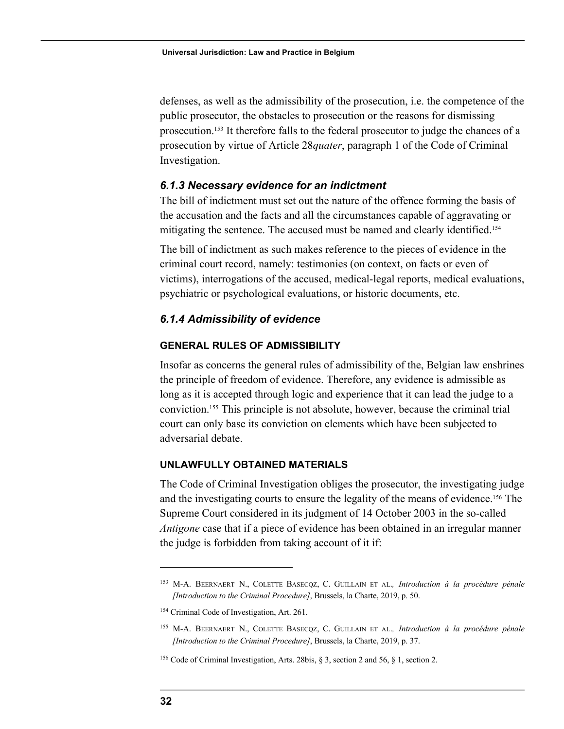defenses, as well as the admissibility of the prosecution, i.e. the competence of the public prosecutor, the obstacles to prosecution or the reasons for dismissing prosecution.153 It therefore falls to the federal prosecutor to judge the chances of a prosecution by virtue of Article 28*quater*, paragraph 1 of the Code of Criminal Investigation.

#### *6.1.3 Necessary evidence for an indictment*

The bill of indictment must set out the nature of the offence forming the basis of the accusation and the facts and all the circumstances capable of aggravating or mitigating the sentence. The accused must be named and clearly identified.<sup>154</sup>

The bill of indictment as such makes reference to the pieces of evidence in the criminal court record, namely: testimonies (on context, on facts or even of victims), interrogations of the accused, medical-legal reports, medical evaluations, psychiatric or psychological evaluations, or historic documents, etc.

#### *6.1.4 Admissibility of evidence*

#### **GENERAL RULES OF ADMISSIBILITY**

Insofar as concerns the general rules of admissibility of the, Belgian law enshrines the principle of freedom of evidence. Therefore, any evidence is admissible as long as it is accepted through logic and experience that it can lead the judge to a conviction.155 This principle is not absolute, however, because the criminal trial court can only base its conviction on elements which have been subjected to adversarial debate.

#### **UNLAWFULLY OBTAINED MATERIALS**

The Code of Criminal Investigation obliges the prosecutor, the investigating judge and the investigating courts to ensure the legality of the means of evidence. <sup>156</sup> The Supreme Court considered in its judgment of 14 October 2003 in the so-called *Antigone* case that if a piece of evidence has been obtained in an irregular manner the judge is forbidden from taking account of it if:

<sup>153</sup> M-A. BEERNAERT N., COLETTE BASECQZ, C. GUILLAIN ET AL.*, Introduction à la procédure pénale [Introduction to the Criminal Procedure]*, Brussels, la Charte, 2019, p. 50.

<sup>154</sup> Criminal Code of Investigation, Art. 261.

<sup>155</sup> M-A. BEERNAERT N., COLETTE BASECQZ, C. GUILLAIN ET AL.*, Introduction à la procédure pénale [Introduction to the Criminal Procedure]*, Brussels, la Charte, 2019, p. 37.

<sup>156</sup> Code of Criminal Investigation, Arts. 28bis, § 3, section 2 and 56, § 1, section 2.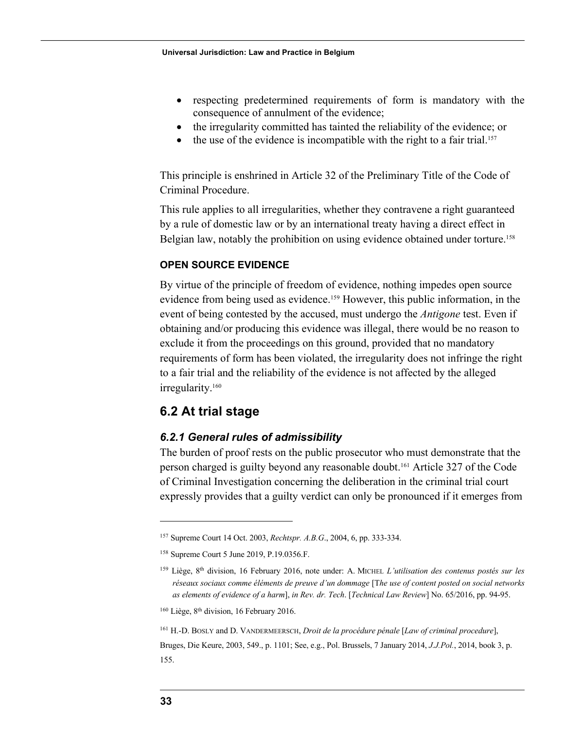- respecting predetermined requirements of form is mandatory with the consequence of annulment of the evidence;
- the irregularity committed has tainted the reliability of the evidence; or
- the use of the evidence is incompatible with the right to a fair trial.<sup>157</sup>

This principle is enshrined in Article 32 of the Preliminary Title of the Code of Criminal Procedure.

This rule applies to all irregularities, whether they contravene a right guaranteed by a rule of domestic law or by an international treaty having a direct effect in Belgian law, notably the prohibition on using evidence obtained under torture. 158

#### **OPEN SOURCE EVIDENCE**

By virtue of the principle of freedom of evidence, nothing impedes open source evidence from being used as evidence. <sup>159</sup> However, this public information, in the event of being contested by the accused, must undergo the *Antigone* test. Even if obtaining and/or producing this evidence was illegal, there would be no reason to exclude it from the proceedings on this ground, provided that no mandatory requirements of form has been violated, the irregularity does not infringe the right to a fair trial and the reliability of the evidence is not affected by the alleged irregularity.<sup>160</sup>

## **6.2 At trial stage**

#### *6.2.1 General rules of admissibility*

The burden of proof rests on the public prosecutor who must demonstrate that the person charged is guilty beyond any reasonable doubt. <sup>161</sup> Article 327 of the Code of Criminal Investigation concerning the deliberation in the criminal trial court expressly provides that a guilty verdict can only be pronounced if it emerges from

<sup>157</sup> Supreme Court 14 Oct. 2003, *Rechtspr. A.B.G*., 2004, 6, pp. 333-334.

<sup>158</sup> Supreme Court 5 June 2019, P.19.0356.F.

<sup>159</sup> Liège, 8th division, 16 February 2016, note under: A. MICHEL *L'utilisation des contenus postés sur les réseaux sociaux comme éléments de preuve d'un dommage* [T*he use of content posted on social networks as elements of evidence of a harm*], *in Rev. dr. Tech*. [*Technical Law Review*] No. 65/2016, pp. 94-95.

 $160$  Liège,  $8<sup>th</sup>$  division, 16 February 2016.

<sup>161</sup> H.-D. BOSLY and D. VANDERMEERSCH, *Droit de la procédure pénale* [*Law of criminal procedure*], Bruges, Die Keure, 2003, 549., p. 1101; See, e.g., Pol. Brussels, 7 January 2014, *J.J.Pol.*, 2014, book 3, p. 155.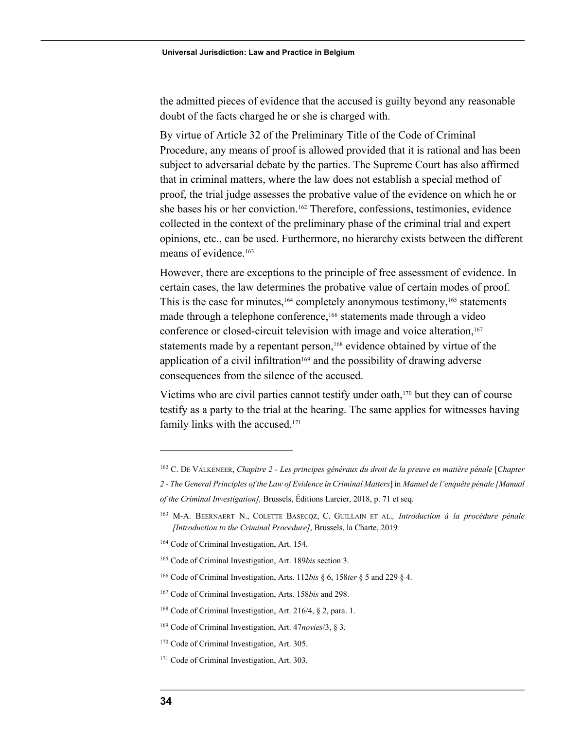the admitted pieces of evidence that the accused is guilty beyond any reasonable doubt of the facts charged he or she is charged with.

By virtue of Article 32 of the Preliminary Title of the Code of Criminal Procedure, any means of proof is allowed provided that it is rational and has been subject to adversarial debate by the parties. The Supreme Court has also affirmed that in criminal matters, where the law does not establish a special method of proof, the trial judge assesses the probative value of the evidence on which he or she bases his or her conviction. <sup>162</sup> Therefore, confessions, testimonies, evidence collected in the context of the preliminary phase of the criminal trial and expert opinions, etc., can be used. Furthermore, no hierarchy exists between the different means of evidence. 163

However, there are exceptions to the principle of free assessment of evidence. In certain cases, the law determines the probative value of certain modes of proof. This is the case for minutes,<sup>164</sup> completely anonymous testimony,<sup>165</sup> statements made through a telephone conference, <sup>166</sup> statements made through a video conference or closed-circuit television with image and voice alteration, 167 statements made by a repentant person, <sup>168</sup> evidence obtained by virtue of the application of a civil infiltration<sup>169</sup> and the possibility of drawing adverse consequences from the silence of the accused.

Victims who are civil parties cannot testify under oath, <sup>170</sup> but they can of course testify as a party to the trial at the hearing. The same applies for witnesses having family links with the accused. 171

<sup>162</sup> C. DE VALKENEER, *Chapitre 2 - Les principes généraux du droit de la preuve en matière pénale* [*Chapter*

*<sup>2 -</sup> The General Principles of the Law of Evidence in Criminal Matters*] in *Manuel de l'enquête pénale [Manual* 

*of the Criminal Investigation],* Brussels, Éditions Larcier, 2018, p. 71 et seq.

<sup>163</sup> M-A. BEERNAERT N., COLETTE BASECQZ, C. GUILLAIN ET AL.*, Introduction à la procédure pénale [Introduction to the Criminal Procedure]*, Brussels, la Charte, 2019*.*

<sup>164</sup> Code of Criminal Investigation, Art. 154.

<sup>165</sup> Code of Criminal Investigation, Art. 189*bis* section 3.

<sup>166</sup> Code of Criminal Investigation, Arts. 112*bis* § 6, 158*ter* § 5 and 229 § 4.

<sup>167</sup> Code of Criminal Investigation, Arts. 158*bis* and 298.

<sup>168</sup> Code of Criminal Investigation, Art. 216/4, § 2, para. 1.

<sup>169</sup> Code of Criminal Investigation, Art. 47*novies*/3, § 3.

<sup>&</sup>lt;sup>170</sup> Code of Criminal Investigation, Art. 305.

<sup>&</sup>lt;sup>171</sup> Code of Criminal Investigation, Art. 303.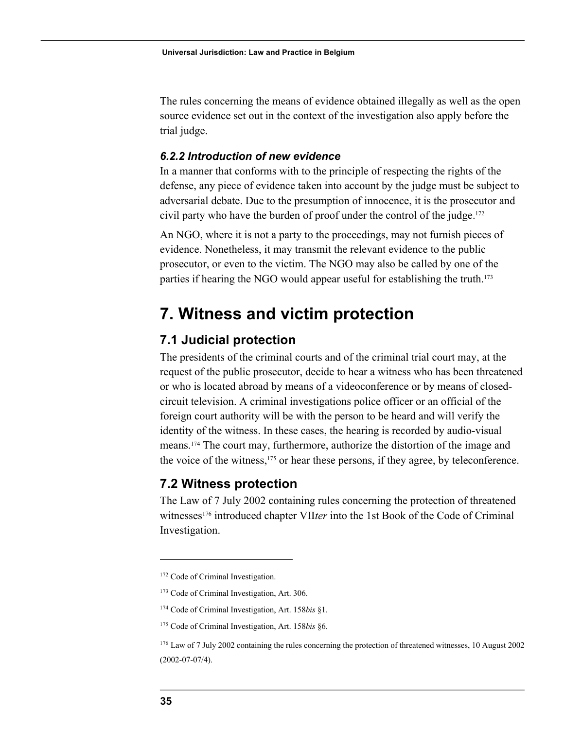The rules concerning the means of evidence obtained illegally as well as the open source evidence set out in the context of the investigation also apply before the trial judge.

#### *6.2.2 Introduction of new evidence*

In a manner that conforms with to the principle of respecting the rights of the defense, any piece of evidence taken into account by the judge must be subject to adversarial debate. Due to the presumption of innocence, it is the prosecutor and civil party who have the burden of proof under the control of the judge. 172

An NGO, where it is not a party to the proceedings, may not furnish pieces of evidence. Nonetheless, it may transmit the relevant evidence to the public prosecutor, or even to the victim. The NGO may also be called by one of the parties if hearing the NGO would appear useful for establishing the truth. 173

# **7. Witness and victim protection**

### **7.1 Judicial protection**

The presidents of the criminal courts and of the criminal trial court may, at the request of the public prosecutor, decide to hear a witness who has been threatened or who is located abroad by means of a videoconference or by means of closedcircuit television. A criminal investigations police officer or an official of the foreign court authority will be with the person to be heard and will verify the identity of the witness. In these cases, the hearing is recorded by audio-visual means. <sup>174</sup> The court may, furthermore, authorize the distortion of the image and the voice of the witness,<sup>175</sup> or hear these persons, if they agree, by teleconference.

### **7.2 Witness protection**

The Law of 7 July 2002 containing rules concerning the protection of threatened witnesses176 introduced chapter VII*ter* into the 1st Book of the Code of Criminal Investigation.

<sup>&</sup>lt;sup>172</sup> Code of Criminal Investigation.

<sup>173</sup> Code of Criminal Investigation, Art. 306.

<sup>174</sup> Code of Criminal Investigation, Art. 158*bis* §1.

<sup>175</sup> Code of Criminal Investigation, Art. 158*bis* §6.

<sup>176</sup> Law of 7 July 2002 containing the rules concerning the protection of threatened witnesses, 10 August 2002 (2002-07-07/4).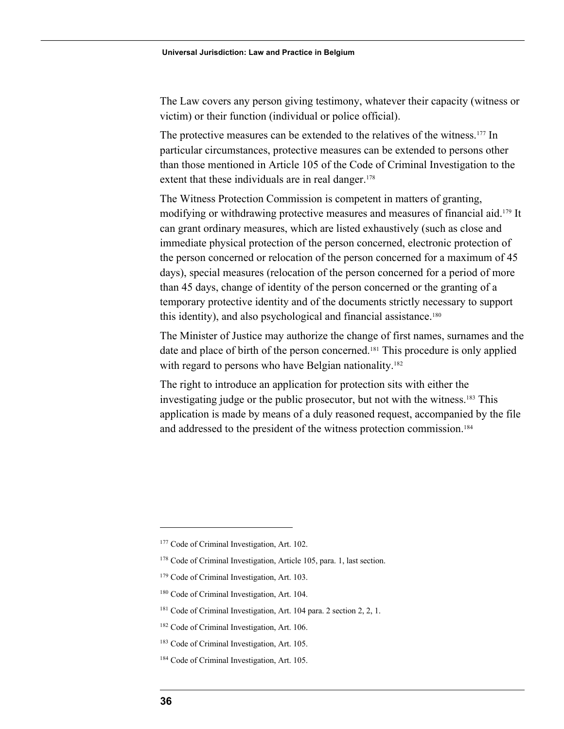The Law covers any person giving testimony, whatever their capacity (witness or victim) or their function (individual or police official).

The protective measures can be extended to the relatives of the witness. <sup>177</sup> In particular circumstances, protective measures can be extended to persons other than those mentioned in Article 105 of the Code of Criminal Investigation to the extent that these individuals are in real danger.<sup>178</sup>

The Witness Protection Commission is competent in matters of granting, modifying or withdrawing protective measures and measures of financial aid. <sup>179</sup> It can grant ordinary measures, which are listed exhaustively (such as close and immediate physical protection of the person concerned, electronic protection of the person concerned or relocation of the person concerned for a maximum of 45 days), special measures (relocation of the person concerned for a period of more than 45 days, change of identity of the person concerned or the granting of a temporary protective identity and of the documents strictly necessary to support this identity), and also psychological and financial assistance. 180

The Minister of Justice may authorize the change of first names, surnames and the date and place of birth of the person concerned. <sup>181</sup> This procedure is only applied with regard to persons who have Belgian nationality.<sup>182</sup>

The right to introduce an application for protection sits with either the investigating judge or the public prosecutor, but not with the witness. <sup>183</sup> This application is made by means of a duly reasoned request, accompanied by the file and addressed to the president of the witness protection commission. 184

<sup>&</sup>lt;sup>177</sup> Code of Criminal Investigation, Art. 102.

<sup>178</sup> Code of Criminal Investigation, Article 105, para. 1, last section.

<sup>&</sup>lt;sup>179</sup> Code of Criminal Investigation, Art. 103.

<sup>180</sup> Code of Criminal Investigation, Art. 104.

<sup>181</sup> Code of Criminal Investigation, Art. 104 para. 2 section 2, 2, 1.

<sup>182</sup> Code of Criminal Investigation, Art. 106.

<sup>183</sup> Code of Criminal Investigation, Art. 105.

<sup>&</sup>lt;sup>184</sup> Code of Criminal Investigation, Art. 105.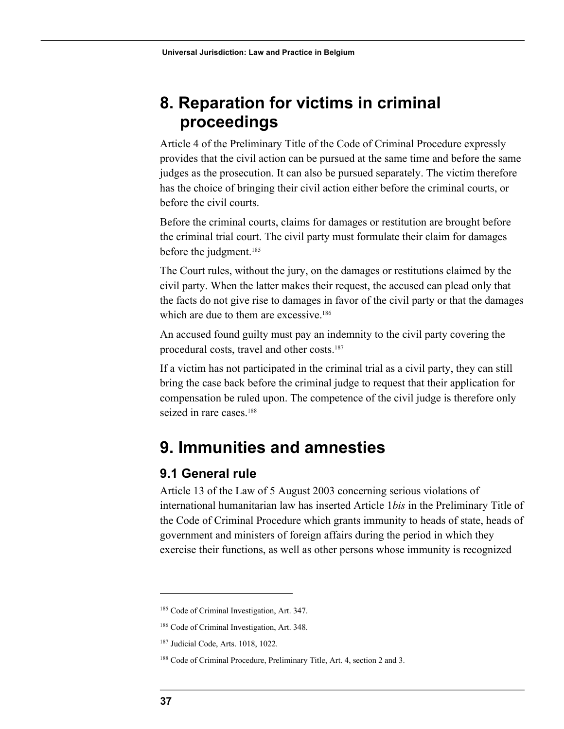# **8. Reparation for victims in criminal proceedings**

Article 4 of the Preliminary Title of the Code of Criminal Procedure expressly provides that the civil action can be pursued at the same time and before the same judges as the prosecution. It can also be pursued separately. The victim therefore has the choice of bringing their civil action either before the criminal courts, or before the civil courts.

Before the criminal courts, claims for damages or restitution are brought before the criminal trial court. The civil party must formulate their claim for damages before the judgment. 185

The Court rules, without the jury, on the damages or restitutions claimed by the civil party. When the latter makes their request, the accused can plead only that the facts do not give rise to damages in favor of the civil party or that the damages which are due to them are excessive.<sup>186</sup>

An accused found guilty must pay an indemnity to the civil party covering the procedural costs, travel and other costs. 187

If a victim has not participated in the criminal trial as a civil party, they can still bring the case back before the criminal judge to request that their application for compensation be ruled upon. The competence of the civil judge is therefore only seized in rare cases. 188

# **9. Immunities and amnesties**

## **9.1 General rule**

Article 13 of the Law of 5 August 2003 concerning serious violations of international humanitarian law has inserted Article 1*bis* in the Preliminary Title of the Code of Criminal Procedure which grants immunity to heads of state, heads of government and ministers of foreign affairs during the period in which they exercise their functions, as well as other persons whose immunity is recognized

<sup>185</sup> Code of Criminal Investigation, Art. 347.

<sup>186</sup> Code of Criminal Investigation, Art. 348.

<sup>187</sup> Judicial Code, Arts. 1018, 1022.

<sup>188</sup> Code of Criminal Procedure, Preliminary Title, Art. 4, section 2 and 3.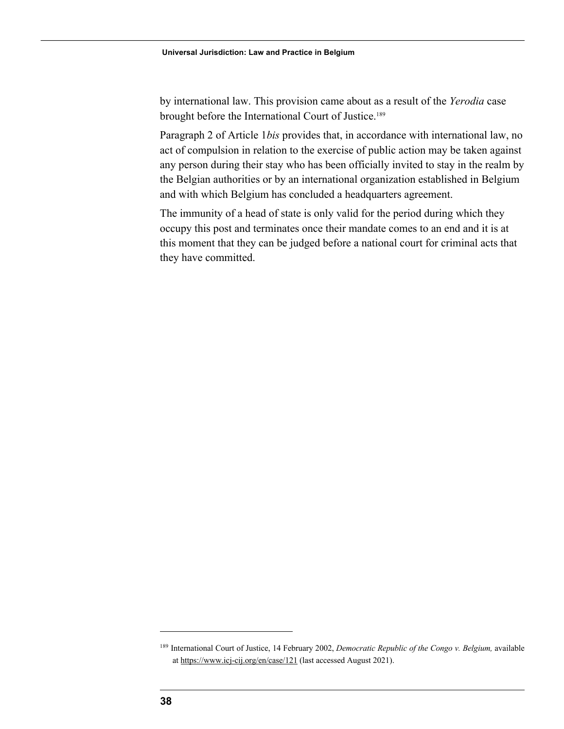by international law. This provision came about as a result of the *Yerodia* case brought before the International Court of Justice. 189

Paragraph 2 of Article 1*bis* provides that, in accordance with international law, no act of compulsion in relation to the exercise of public action may be taken against any person during their stay who has been officially invited to stay in the realm by the Belgian authorities or by an international organization established in Belgium and with which Belgium has concluded a headquarters agreement.

The immunity of a head of state is only valid for the period during which they occupy this post and terminates once their mandate comes to an end and it is at this moment that they can be judged before a national court for criminal acts that they have committed.

<sup>189</sup> International Court of Justice, 14 February 2002, *Democratic Republic of the Congo v. Belgium,* available at https://www.icj-cij.org/en/case/121 (last accessed August 2021).